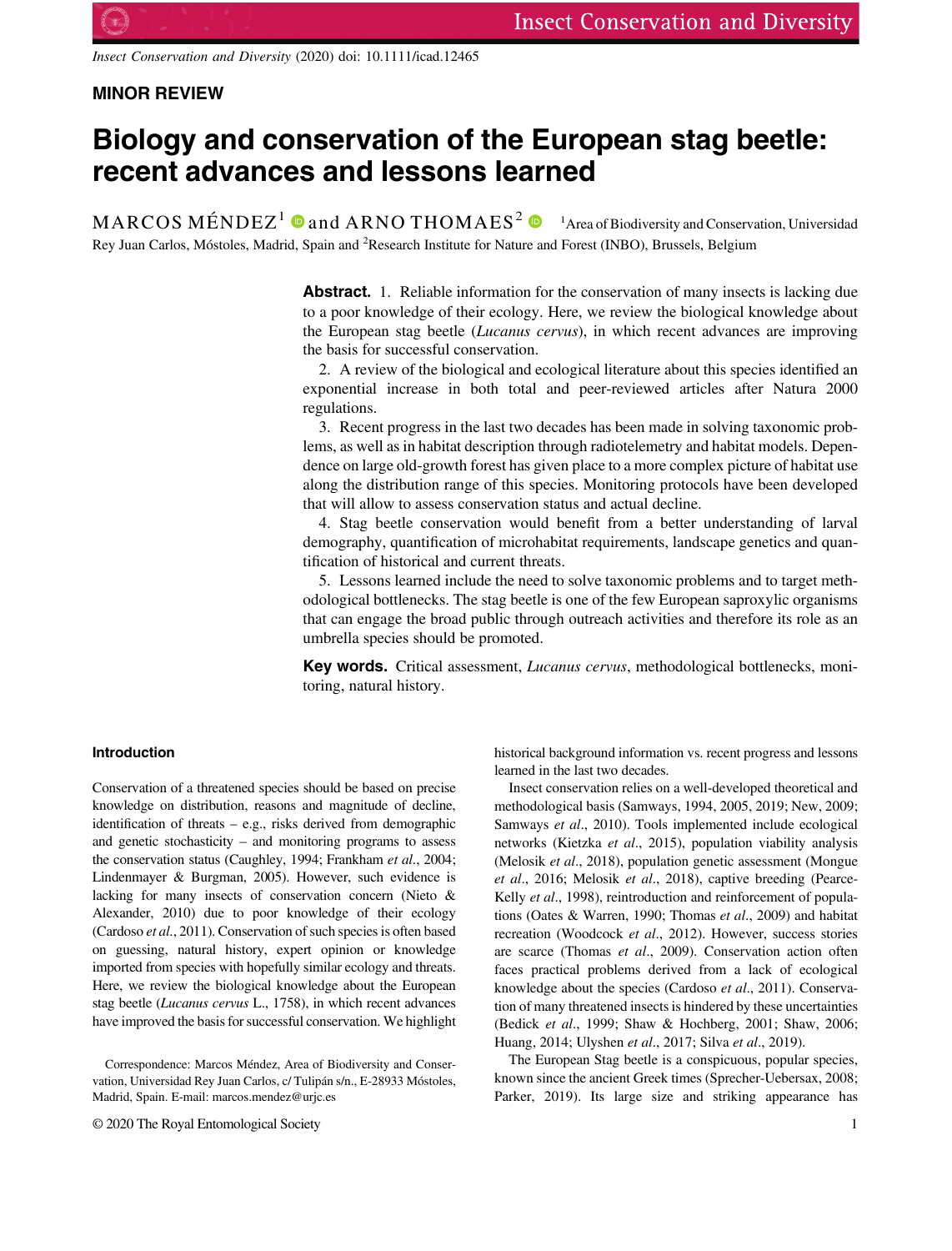Insect Conservation and Diversity (2020) doi: 10.1111/icad.12465

# MINOR REVIEW

# Biology and conservation of the European stag beetle: recent advances and lessons learned

 $\text{MARCOS M}\check{\text{ENDEZ}}^1$   $\text{}^{ \text{\textbf{O}}}$  and  $\text{ARNO THOMAES}^2$   $\text{}^{ \textbf{O}}$   $\text{}^{ \textbf{I}}$  Area of Biodiversity and Conservation, Universidad Rey Juan Carlos, Móstoles, Madrid, Spain and <sup>2</sup>Research Institute for Nature and Forest (INBO), Brussels, Belgium

> Abstract. 1. Reliable information for the conservation of many insects is lacking due to a poor knowledge of their ecology. Here, we review the biological knowledge about the European stag beetle (Lucanus cervus), in which recent advances are improving the basis for successful conservation.

> 2. A review of the biological and ecological literature about this species identified an exponential increase in both total and peer-reviewed articles after Natura 2000 regulations.

> 3. Recent progress in the last two decades has been made in solving taxonomic problems, as well as in habitat description through radiotelemetry and habitat models. Dependence on large old-growth forest has given place to a more complex picture of habitat use along the distribution range of this species. Monitoring protocols have been developed that will allow to assess conservation status and actual decline.

> 4. Stag beetle conservation would benefit from a better understanding of larval demography, quantification of microhabitat requirements, landscape genetics and quantification of historical and current threats.

> 5. Lessons learned include the need to solve taxonomic problems and to target methodological bottlenecks. The stag beetle is one of the few European saproxylic organisms that can engage the broad public through outreach activities and therefore its role as an umbrella species should be promoted.

> Key words. Critical assessment, Lucanus cervus, methodological bottlenecks, monitoring, natural history.

### Introduction

Conservation of a threatened species should be based on precise knowledge on distribution, reasons and magnitude of decline, identification of threats – e.g., risks derived from demographic and genetic stochasticity – and monitoring programs to assess the conservation status (Caughley, 1994; Frankham et al., 2004; Lindenmayer & Burgman, 2005). However, such evidence is lacking for many insects of conservation concern (Nieto & Alexander, 2010) due to poor knowledge of their ecology (Cardoso et al., 2011). Conservation of such species is often based on guessing, natural history, expert opinion or knowledge imported from species with hopefully similar ecology and threats. Here, we review the biological knowledge about the European stag beetle (Lucanus cervus L., 1758), in which recent advances have improved the basis for successful conservation. We highlight

© 2020 The Royal Entomological Society 1

historical background information vs. recent progress and lessons learned in the last two decades.

Insect conservation relies on a well-developed theoretical and methodological basis (Samways, 1994, 2005, 2019; New, 2009; Samways et al., 2010). Tools implemented include ecological networks (Kietzka et al., 2015), population viability analysis (Melosik et al., 2018), population genetic assessment (Mongue et al., 2016; Melosik et al., 2018), captive breeding (Pearce-Kelly et al., 1998), reintroduction and reinforcement of populations (Oates & Warren, 1990; Thomas et al., 2009) and habitat recreation (Woodcock et al., 2012). However, success stories are scarce (Thomas et al., 2009). Conservation action often faces practical problems derived from a lack of ecological knowledge about the species (Cardoso et al., 2011). Conservation of many threatened insects is hindered by these uncertainties (Bedick et al., 1999; Shaw & Hochberg, 2001; Shaw, 2006; Huang, 2014; Ulyshen et al., 2017; Silva et al., 2019).

The European Stag beetle is a conspicuous, popular species, known since the ancient Greek times (Sprecher-Uebersax, 2008; Parker, 2019). Its large size and striking appearance has

Correspondence: Marcos Méndez, Area of Biodiversity and Conservation, Universidad Rey Juan Carlos, c/ Tulipán s/n., E-28933 Móstoles, Madrid, Spain. E-mail: [marcos.mendez@urjc.es](mailto:marcos.mendez@urjc.es)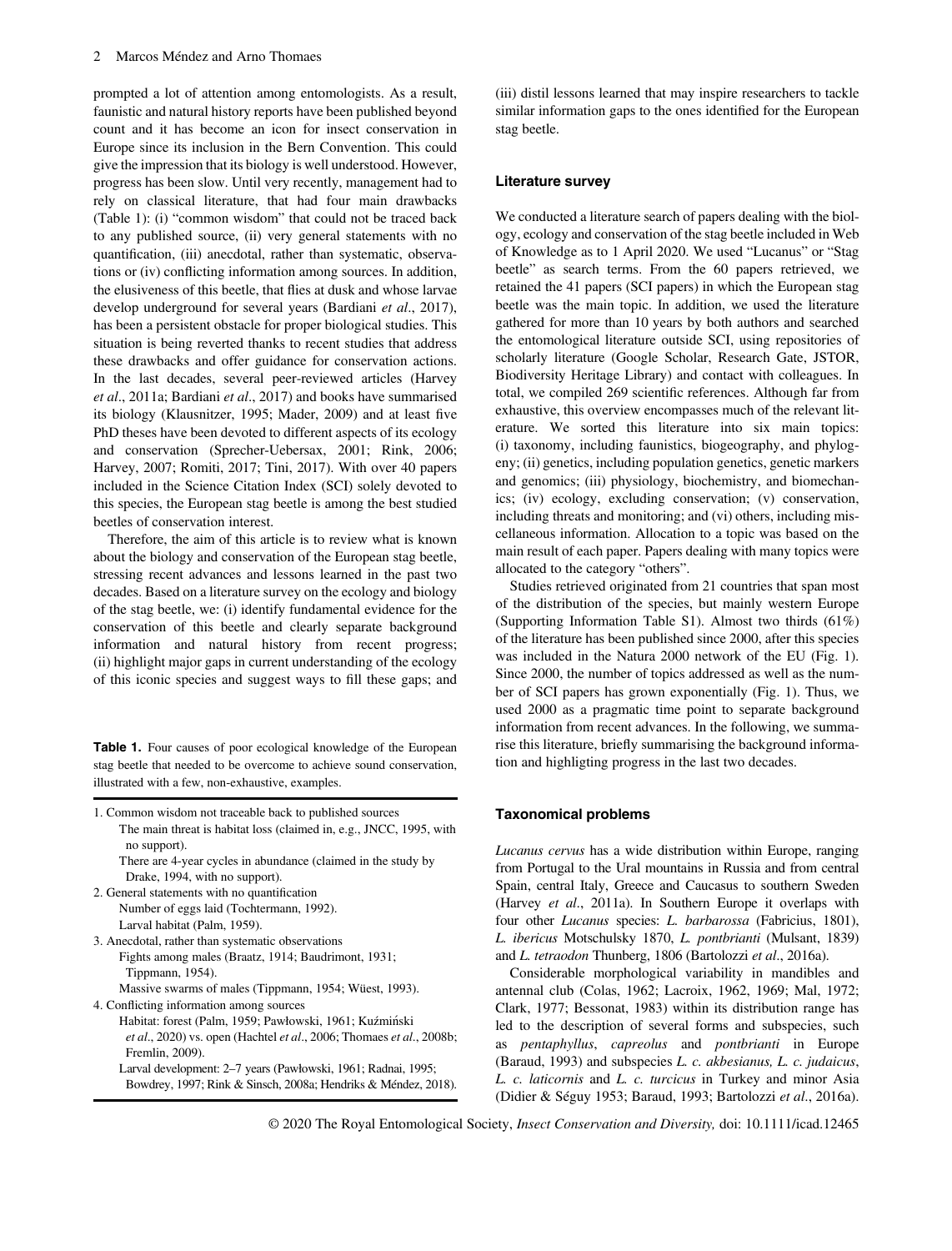prompted a lot of attention among entomologists. As a result, faunistic and natural history reports have been published beyond count and it has become an icon for insect conservation in Europe since its inclusion in the Bern Convention. This could give the impression that its biology is well understood. However, progress has been slow. Until very recently, management had to rely on classical literature, that had four main drawbacks (Table 1): (i) "common wisdom" that could not be traced back to any published source, (ii) very general statements with no quantification, (iii) anecdotal, rather than systematic, observations or (iv) conflicting information among sources. In addition, the elusiveness of this beetle, that flies at dusk and whose larvae develop underground for several years (Bardiani et al., 2017), has been a persistent obstacle for proper biological studies. This situation is being reverted thanks to recent studies that address these drawbacks and offer guidance for conservation actions. In the last decades, several peer-reviewed articles (Harvey et al., 2011a; Bardiani et al., 2017) and books have summarised its biology (Klausnitzer, 1995; Mader, 2009) and at least five PhD theses have been devoted to different aspects of its ecology and conservation (Sprecher-Uebersax, 2001; Rink, 2006; Harvey, 2007; Romiti, 2017; Tini, 2017). With over 40 papers included in the Science Citation Index (SCI) solely devoted to this species, the European stag beetle is among the best studied beetles of conservation interest.

Therefore, the aim of this article is to review what is known about the biology and conservation of the European stag beetle, stressing recent advances and lessons learned in the past two decades. Based on a literature survey on the ecology and biology of the stag beetle, we: (i) identify fundamental evidence for the conservation of this beetle and clearly separate background information and natural history from recent progress; (ii) highlight major gaps in current understanding of the ecology of this iconic species and suggest ways to fill these gaps; and

Table 1. Four causes of poor ecological knowledge of the European stag beetle that needed to be overcome to achieve sound conservation, illustrated with a few, non-exhaustive, examples.

| 1. Common wisdom not traceable back to published sources                                     |
|----------------------------------------------------------------------------------------------|
| The main threat is habitat loss (claimed in, e.g., JNCC, 1995, with                          |
| no support).                                                                                 |
| There are 4-year cycles in abundance (claimed in the study by                                |
| Drake, 1994, with no support).                                                               |
| 2. General statements with no quantification                                                 |
| Number of eggs laid (Tochtermann, 1992).                                                     |
| Larval habitat (Palm, 1959).                                                                 |
| 3. Anecdotal, rather than systematic observations                                            |
| Fights among males (Braatz, 1914; Baudrimont, 1931;                                          |
| Tippmann, 1954).                                                                             |
| Massive swarms of males (Tippmann, 1954; Wüest, 1993).                                       |
| 4. Conflicting information among sources                                                     |
| Habitat: forest (Palm, 1959; Pawłowski, 1961; Kuźmiński                                      |
| <i>et al.</i> , 2020) vs. open (Hachtel <i>et al.</i> , 2006; Thomaes <i>et al.</i> , 2008b; |
| Fremlin, 2009).                                                                              |
| Larval development: 2–7 years (Pawłowski, 1961; Radnai, 1995;                                |
| Bowdrey, 1997; Rink & Sinsch, 2008a; Hendriks & Méndez, 2018).                               |

(iii) distil lessons learned that may inspire researchers to tackle similar information gaps to the ones identified for the European stag beetle.

#### Literature survey

We conducted a literature search of papers dealing with the biology, ecology and conservation of the stag beetle included in Web of Knowledge as to 1 April 2020. We used "Lucanus" or "Stag beetle" as search terms. From the 60 papers retrieved, we retained the 41 papers (SCI papers) in which the European stag beetle was the main topic. In addition, we used the literature gathered for more than 10 years by both authors and searched the entomological literature outside SCI, using repositories of scholarly literature (Google Scholar, Research Gate, JSTOR, Biodiversity Heritage Library) and contact with colleagues. In total, we compiled 269 scientific references. Although far from exhaustive, this overview encompasses much of the relevant literature. We sorted this literature into six main topics: (i) taxonomy, including faunistics, biogeography, and phylogeny; (ii) genetics, including population genetics, genetic markers and genomics; (iii) physiology, biochemistry, and biomechanics; (iv) ecology, excluding conservation; (v) conservation, including threats and monitoring; and (vi) others, including miscellaneous information. Allocation to a topic was based on the main result of each paper. Papers dealing with many topics were allocated to the category "others".

Studies retrieved originated from 21 countries that span most of the distribution of the species, but mainly western Europe (Supporting Information Table S1). Almost two thirds (61%) of the literature has been published since 2000, after this species was included in the Natura 2000 network of the EU (Fig. 1). Since 2000, the number of topics addressed as well as the number of SCI papers has grown exponentially (Fig. 1). Thus, we used 2000 as a pragmatic time point to separate background information from recent advances. In the following, we summarise this literature, briefly summarising the background information and highligting progress in the last two decades.

#### Taxonomical problems

Lucanus cervus has a wide distribution within Europe, ranging from Portugal to the Ural mountains in Russia and from central Spain, central Italy, Greece and Caucasus to southern Sweden (Harvey et al., 2011a). In Southern Europe it overlaps with four other Lucanus species: L. barbarossa (Fabricius, 1801), L. ibericus Motschulsky 1870, L. pontbrianti (Mulsant, 1839) and L. tetraodon Thunberg, 1806 (Bartolozzi et al., 2016a).

Considerable morphological variability in mandibles and antennal club (Colas, 1962; Lacroix, 1962, 1969; Mal, 1972; Clark, 1977; Bessonat, 1983) within its distribution range has led to the description of several forms and subspecies, such as pentaphyllus, capreolus and pontbrianti in Europe (Baraud, 1993) and subspecies L. c. akbesianus, L. c. judaicus, L. c. laticornis and L. c. turcicus in Turkey and minor Asia (Didier & Séguy 1953; Baraud, 1993; Bartolozzi et al., 2016a).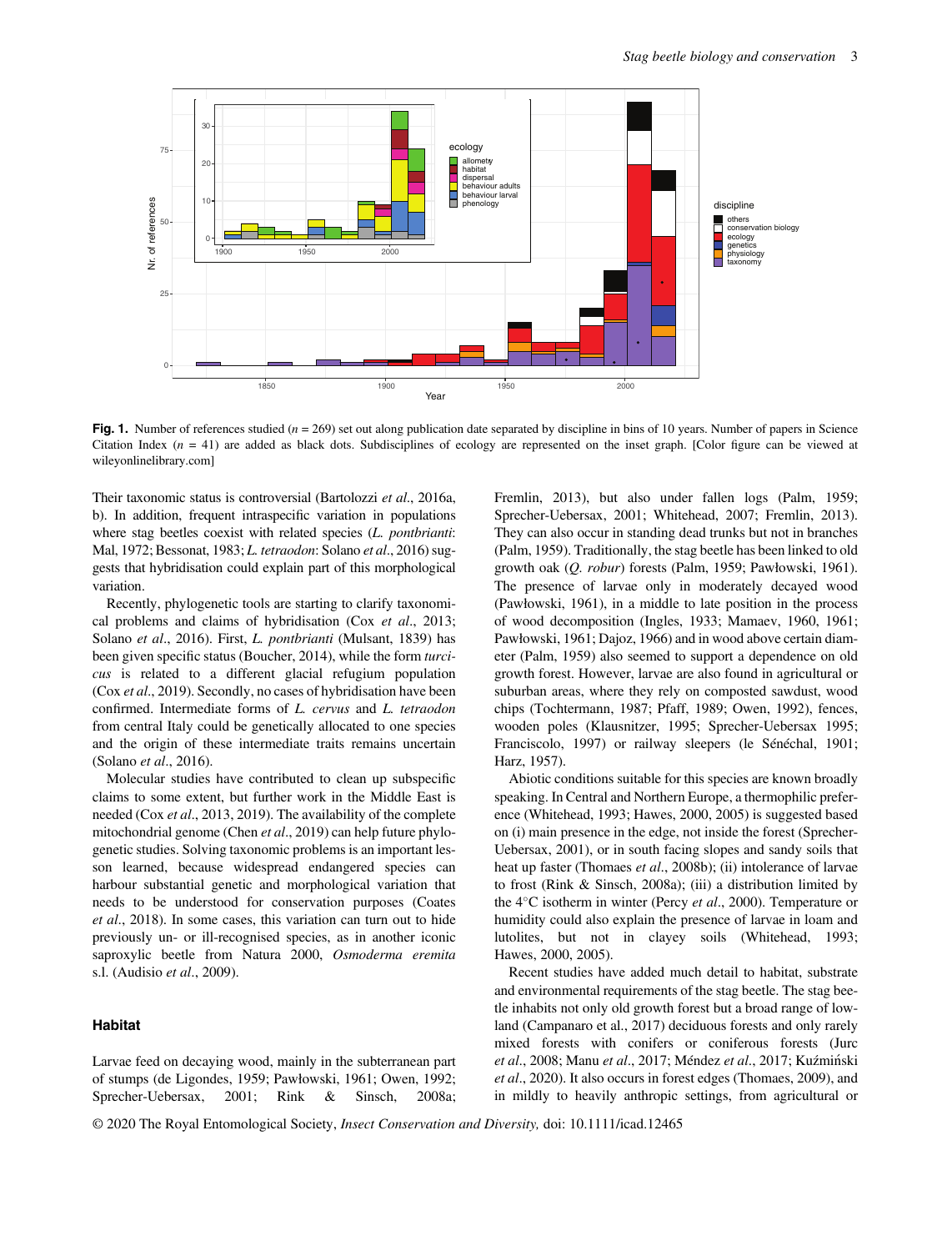

Fig. 1. Number of references studied  $(n = 269)$  set out along publication date separated by discipline in bins of 10 years. Number of papers in Science Citation Index  $(n = 41)$  are added as black dots. Subdisciplines of ecology are represented on the inset graph. [Color figure can be viewed at [wileyonlinelibrary.com\]](http://wileyonlinelibrary.com)

Their taxonomic status is controversial (Bartolozzi et al., 2016a, b). In addition, frequent intraspecific variation in populations where stag beetles coexist with related species (*L. pontbrianti*: Mal, 1972; Bessonat, 1983; L. tetraodon: Solano et al., 2016) suggests that hybridisation could explain part of this morphological variation.

Recently, phylogenetic tools are starting to clarify taxonomical problems and claims of hybridisation (Cox et al., 2013; Solano et al., 2016). First, L. pontbrianti (Mulsant, 1839) has been given specific status (Boucher, 2014), while the form turcicus is related to a different glacial refugium population (Cox et al., 2019). Secondly, no cases of hybridisation have been confirmed. Intermediate forms of L. cervus and L. tetraodon from central Italy could be genetically allocated to one species and the origin of these intermediate traits remains uncertain (Solano et al., 2016).

Molecular studies have contributed to clean up subspecific claims to some extent, but further work in the Middle East is needed (Cox et al., 2013, 2019). The availability of the complete mitochondrial genome (Chen et al., 2019) can help future phylogenetic studies. Solving taxonomic problems is an important lesson learned, because widespread endangered species can harbour substantial genetic and morphological variation that needs to be understood for conservation purposes (Coates et al., 2018). In some cases, this variation can turn out to hide previously un- or ill-recognised species, as in another iconic saproxylic beetle from Natura 2000, Osmoderma eremita s.l. (Audisio et al., 2009).

# Habitat

Larvae feed on decaying wood, mainly in the subterranean part of stumps (de Ligondes, 1959; Pawłowski, 1961; Owen, 1992; Sprecher-Uebersax, 2001; Rink & Sinsch, 2008a; Fremlin, 2013), but also under fallen logs (Palm, 1959; Sprecher-Uebersax, 2001; Whitehead, 2007; Fremlin, 2013). They can also occur in standing dead trunks but not in branches (Palm, 1959). Traditionally, the stag beetle has been linked to old growth oak (Q. robur) forests (Palm, 1959; Pawłowski, 1961). The presence of larvae only in moderately decayed wood (Pawłowski, 1961), in a middle to late position in the process of wood decomposition (Ingles, 1933; Mamaev, 1960, 1961; Pawłowski, 1961; Dajoz, 1966) and in wood above certain diameter (Palm, 1959) also seemed to support a dependence on old growth forest. However, larvae are also found in agricultural or suburban areas, where they rely on composted sawdust, wood chips (Tochtermann, 1987; Pfaff, 1989; Owen, 1992), fences, wooden poles (Klausnitzer, 1995; Sprecher-Uebersax 1995; Franciscolo, 1997) or railway sleepers (le Sénéchal, 1901; Harz, 1957).

Abiotic conditions suitable for this species are known broadly speaking. In Central and Northern Europe, a thermophilic preference (Whitehead, 1993; Hawes, 2000, 2005) is suggested based on (i) main presence in the edge, not inside the forest (Sprecher-Uebersax, 2001), or in south facing slopes and sandy soils that heat up faster (Thomaes et al., 2008b); (ii) intolerance of larvae to frost (Rink & Sinsch, 2008a); (iii) a distribution limited by the  $4^{\circ}$ C isotherm in winter (Percy et al., 2000). Temperature or humidity could also explain the presence of larvae in loam and lutolites, but not in clayey soils (Whitehead, 1993; Hawes, 2000, 2005).

Recent studies have added much detail to habitat, substrate and environmental requirements of the stag beetle. The stag beetle inhabits not only old growth forest but a broad range of lowland (Campanaro et al., 2017) deciduous forests and only rarely mixed forests with conifers or coniferous forests (Jurc et al., 2008; Manu et al., 2017; Méndez et al., 2017; Kuźmiński et al., 2020). It also occurs in forest edges (Thomaes, 2009), and in mildly to heavily anthropic settings, from agricultural or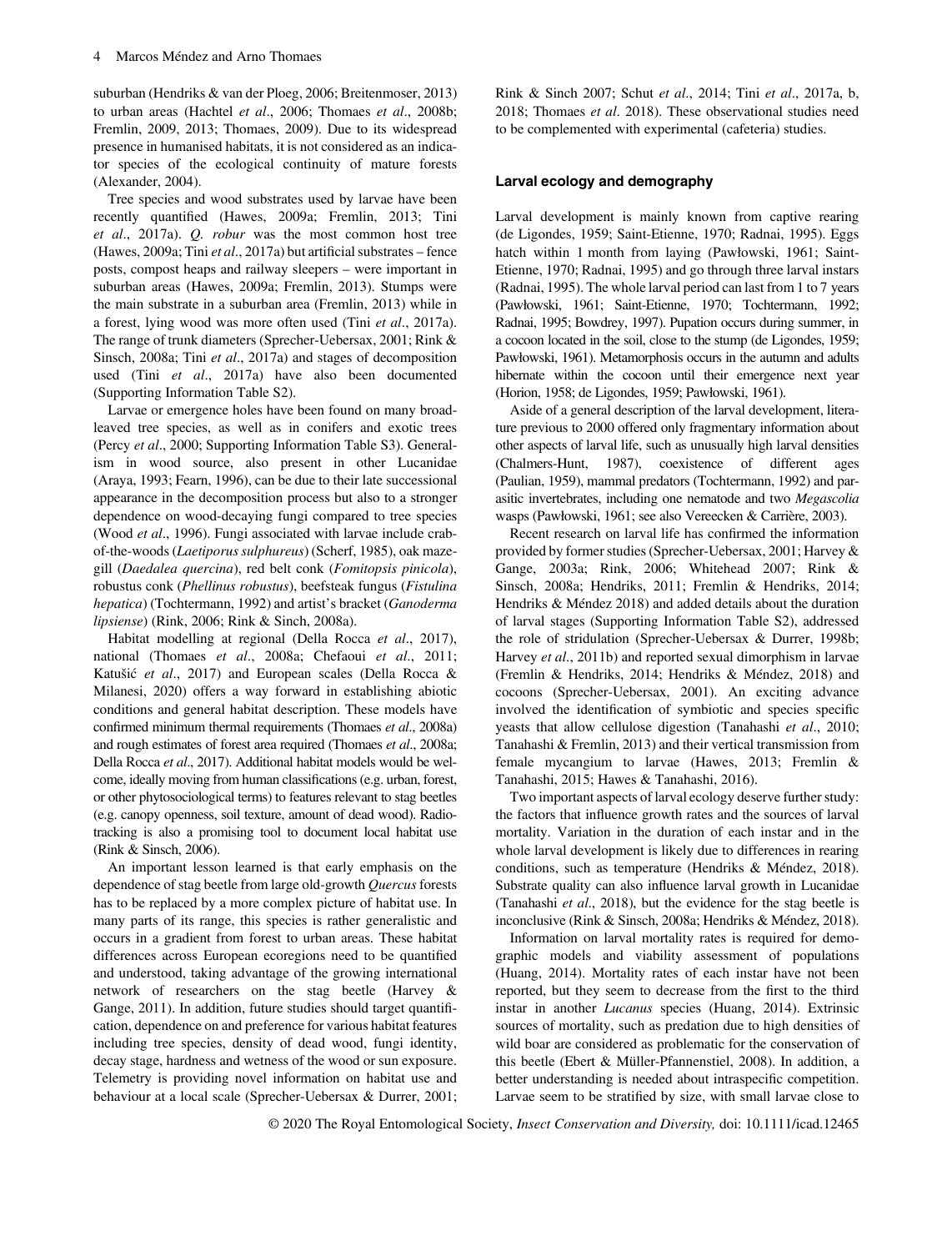suburban (Hendriks & van der Ploeg, 2006; Breitenmoser, 2013) to urban areas (Hachtel et al., 2006; Thomaes et al., 2008b; Fremlin, 2009, 2013; Thomaes, 2009). Due to its widespread presence in humanised habitats, it is not considered as an indicator species of the ecological continuity of mature forests (Alexander, 2004).

Tree species and wood substrates used by larvae have been recently quantified (Hawes, 2009a; Fremlin, 2013; Tini et al., 2017a). Q. robur was the most common host tree (Hawes, 2009a; Tini et al., 2017a) but artificial substrates – fence posts, compost heaps and railway sleepers – were important in suburban areas (Hawes, 2009a; Fremlin, 2013). Stumps were the main substrate in a suburban area (Fremlin, 2013) while in a forest, lying wood was more often used (Tini et al., 2017a). The range of trunk diameters (Sprecher-Uebersax, 2001; Rink & Sinsch, 2008a; Tini et al., 2017a) and stages of decomposition used (Tini et al., 2017a) have also been documented (Supporting Information Table S2).

Larvae or emergence holes have been found on many broadleaved tree species, as well as in conifers and exotic trees (Percy et al., 2000; Supporting Information Table S3). Generalism in wood source, also present in other Lucanidae (Araya, 1993; Fearn, 1996), can be due to their late successional appearance in the decomposition process but also to a stronger dependence on wood-decaying fungi compared to tree species (Wood et al., 1996). Fungi associated with larvae include crabof-the-woods (Laetiporus sulphureus) (Scherf, 1985), oak mazegill (Daedalea quercina), red belt conk (Fomitopsis pinicola), robustus conk (Phellinus robustus), beefsteak fungus (Fistulina hepatica) (Tochtermann, 1992) and artist's bracket (Ganoderma lipsiense) (Rink, 2006; Rink & Sinch, 2008a).

Habitat modelling at regional (Della Rocca et al., 2017), national (Thomaes et al., 2008a; Chefaoui et al., 2011; Katušic et al., 2017) and European scales (Della Rocca & Milanesi, 2020) offers a way forward in establishing abiotic conditions and general habitat description. These models have confirmed minimum thermal requirements (Thomaes et al., 2008a) and rough estimates of forest area required (Thomaes et al., 2008a; Della Rocca et al., 2017). Additional habitat models would be welcome, ideally moving from human classifications (e.g. urban, forest, or other phytosociological terms) to features relevant to stag beetles (e.g. canopy openness, soil texture, amount of dead wood). Radiotracking is also a promising tool to document local habitat use (Rink & Sinsch, 2006).

An important lesson learned is that early emphasis on the dependence of stag beetle from large old-growth Quercus forests has to be replaced by a more complex picture of habitat use. In many parts of its range, this species is rather generalistic and occurs in a gradient from forest to urban areas. These habitat differences across European ecoregions need to be quantified and understood, taking advantage of the growing international network of researchers on the stag beetle (Harvey & Gange, 2011). In addition, future studies should target quantification, dependence on and preference for various habitat features including tree species, density of dead wood, fungi identity, decay stage, hardness and wetness of the wood or sun exposure. Telemetry is providing novel information on habitat use and behaviour at a local scale (Sprecher-Uebersax & Durrer, 2001;

Rink & Sinch 2007; Schut et al., 2014; Tini et al., 2017a, b, 2018; Thomaes et al. 2018). These observational studies need to be complemented with experimental (cafeteria) studies.

#### Larval ecology and demography

Larval development is mainly known from captive rearing (de Ligondes, 1959; Saint-Etienne, 1970; Radnai, 1995). Eggs hatch within 1 month from laying (Pawłowski, 1961; Saint-Etienne, 1970; Radnai, 1995) and go through three larval instars (Radnai, 1995). The whole larval period can last from 1 to 7 years (Pawłowski, 1961; Saint-Etienne, 1970; Tochtermann, 1992; Radnai, 1995; Bowdrey, 1997). Pupation occurs during summer, in a cocoon located in the soil, close to the stump (de Ligondes, 1959; Pawłowski, 1961). Metamorphosis occurs in the autumn and adults hibernate within the cocoon until their emergence next year (Horion, 1958; de Ligondes, 1959; Pawłowski, 1961).

Aside of a general description of the larval development, literature previous to 2000 offered only fragmentary information about other aspects of larval life, such as unusually high larval densities (Chalmers-Hunt, 1987), coexistence of different ages (Paulian, 1959), mammal predators (Tochtermann, 1992) and parasitic invertebrates, including one nematode and two Megascolia wasps (Pawłowski, 1961; see also Vereecken & Carrière, 2003).

Recent research on larval life has confirmed the information provided by former studies (Sprecher-Uebersax, 2001; Harvey & Gange, 2003a; Rink, 2006; Whitehead 2007; Rink & Sinsch, 2008a; Hendriks, 2011; Fremlin & Hendriks, 2014; Hendriks & Méndez 2018) and added details about the duration of larval stages (Supporting Information Table S2), addressed the role of stridulation (Sprecher-Uebersax & Durrer, 1998b; Harvey et al., 2011b) and reported sexual dimorphism in larvae (Fremlin & Hendriks, 2014; Hendriks & Méndez, 2018) and cocoons (Sprecher-Uebersax, 2001). An exciting advance involved the identification of symbiotic and species specific yeasts that allow cellulose digestion (Tanahashi et al., 2010; Tanahashi & Fremlin, 2013) and their vertical transmission from female mycangium to larvae (Hawes, 2013; Fremlin & Tanahashi, 2015; Hawes & Tanahashi, 2016).

Two important aspects of larval ecology deserve further study: the factors that influence growth rates and the sources of larval mortality. Variation in the duration of each instar and in the whole larval development is likely due to differences in rearing conditions, such as temperature (Hendriks & Méndez, 2018). Substrate quality can also influence larval growth in Lucanidae (Tanahashi et al., 2018), but the evidence for the stag beetle is inconclusive (Rink & Sinsch, 2008a; Hendriks & Méndez, 2018).

Information on larval mortality rates is required for demographic models and viability assessment of populations (Huang, 2014). Mortality rates of each instar have not been reported, but they seem to decrease from the first to the third instar in another Lucanus species (Huang, 2014). Extrinsic sources of mortality, such as predation due to high densities of wild boar are considered as problematic for the conservation of this beetle (Ebert & Müller-Pfannenstiel, 2008). In addition, a better understanding is needed about intraspecific competition. Larvae seem to be stratified by size, with small larvae close to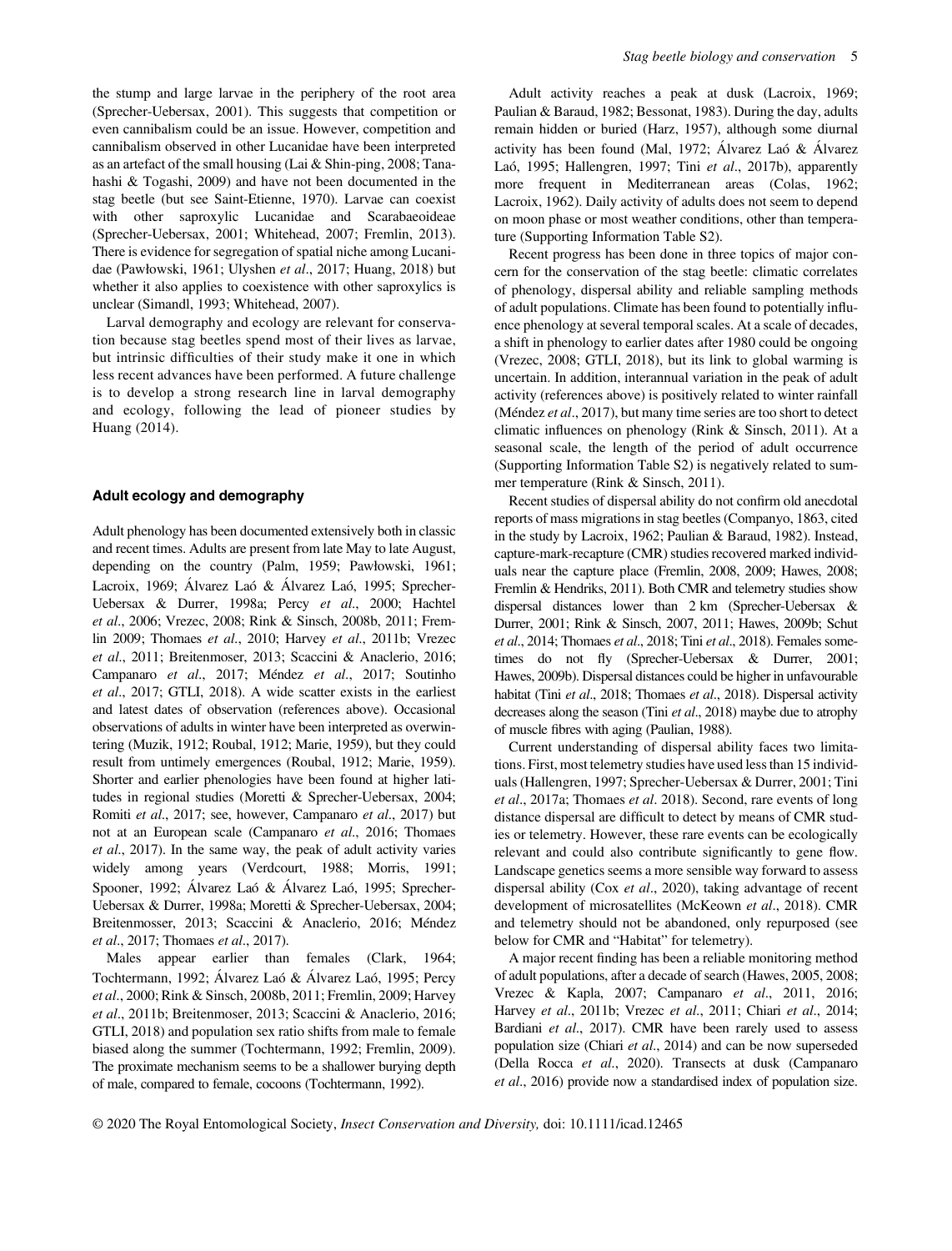the stump and large larvae in the periphery of the root area (Sprecher-Uebersax, 2001). This suggests that competition or even cannibalism could be an issue. However, competition and cannibalism observed in other Lucanidae have been interpreted as an artefact of the small housing (Lai & Shin-ping, 2008; Tanahashi & Togashi, 2009) and have not been documented in the stag beetle (but see Saint-Etienne, 1970). Larvae can coexist with other saproxylic Lucanidae and Scarabaeoideae (Sprecher-Uebersax, 2001; Whitehead, 2007; Fremlin, 2013). There is evidence for segregation of spatial niche among Lucanidae (Pawłowski, 1961; Ulyshen et al., 2017; Huang, 2018) but whether it also applies to coexistence with other saproxylics is unclear (Simandl, 1993; Whitehead, 2007).

Larval demography and ecology are relevant for conservation because stag beetles spend most of their lives as larvae, but intrinsic difficulties of their study make it one in which less recent advances have been performed. A future challenge is to develop a strong research line in larval demography and ecology, following the lead of pioneer studies by Huang (2014).

# Adult ecology and demography

Adult phenology has been documented extensively both in classic and recent times. Adults are present from late May to late August, depending on the country (Palm, 1959; Pawłowski, 1961; Lacroix, 1969; Alvarez Laó & Alvarez Laó, 1995; Sprecher- Uebersax & Durrer, 1998a; Percy et al., 2000; Hachtel et al., 2006; Vrezec, 2008; Rink & Sinsch, 2008b, 2011; Fremlin 2009; Thomaes et al., 2010; Harvey et al., 2011b; Vrezec et al., 2011; Breitenmoser, 2013; Scaccini & Anaclerio, 2016; Campanaro et al., 2017; Méndez et al., 2017; Soutinho et al., 2017; GTLI, 2018). A wide scatter exists in the earliest and latest dates of observation (references above). Occasional observations of adults in winter have been interpreted as overwintering (Muzik, 1912; Roubal, 1912; Marie, 1959), but they could result from untimely emergences (Roubal, 1912; Marie, 1959). Shorter and earlier phenologies have been found at higher latitudes in regional studies (Moretti & Sprecher-Uebersax, 2004; Romiti et al., 2017; see, however, Campanaro et al., 2017) but not at an European scale (Campanaro et al., 2016; Thomaes et al., 2017). In the same way, the peak of adult activity varies widely among years (Verdcourt, 1988; Morris, 1991; Spooner, 1992; Alvarez Laó & Alvarez Laó, 1995; Sprecher- Uebersax & Durrer, 1998a; Moretti & Sprecher-Uebersax, 2004; Breitenmosser, 2013; Scaccini & Anaclerio, 2016; Méndez et al., 2017; Thomaes et al., 2017).

Males appear earlier than females (Clark, 1964; Tochtermann, 1992; Alvarez Laó & Alvarez Laó, 1995; Percy et al., 2000; Rink & Sinsch, 2008b, 2011; Fremlin, 2009; Harvey et al., 2011b; Breitenmoser, 2013; Scaccini & Anaclerio, 2016; GTLI, 2018) and population sex ratio shifts from male to female biased along the summer (Tochtermann, 1992; Fremlin, 2009). The proximate mechanism seems to be a shallower burying depth of male, compared to female, cocoons (Tochtermann, 1992).

Adult activity reaches a peak at dusk (Lacroix, 1969; Paulian & Baraud, 1982; Bessonat, 1983). During the day, adults remain hidden or buried (Harz, 1957), although some diurnal activity has been found (Mal, 1972; Alvarez Laó & Alvarez Laó, 1995; Hallengren, 1997; Tini et al., 2017b), apparently more frequent in Mediterranean areas (Colas, 1962; Lacroix, 1962). Daily activity of adults does not seem to depend on moon phase or most weather conditions, other than temperature (Supporting Information Table S2).

Recent progress has been done in three topics of major concern for the conservation of the stag beetle: climatic correlates of phenology, dispersal ability and reliable sampling methods of adult populations. Climate has been found to potentially influence phenology at several temporal scales. At a scale of decades, a shift in phenology to earlier dates after 1980 could be ongoing (Vrezec, 2008; GTLI, 2018), but its link to global warming is uncertain. In addition, interannual variation in the peak of adult activity (references above) is positively related to winter rainfall (Méndez *et al.*, 2017), but many time series are too short to detect climatic influences on phenology (Rink & Sinsch, 2011). At a seasonal scale, the length of the period of adult occurrence (Supporting Information Table S2) is negatively related to summer temperature (Rink & Sinsch, 2011).

Recent studies of dispersal ability do not confirm old anecdotal reports of mass migrations in stag beetles (Companyo, 1863, cited in the study by Lacroix, 1962; Paulian & Baraud, 1982). Instead, capture-mark-recapture (CMR) studies recovered marked individuals near the capture place (Fremlin, 2008, 2009; Hawes, 2008; Fremlin & Hendriks, 2011). Both CMR and telemetry studies show dispersal distances lower than 2 km (Sprecher-Uebersax & Durrer, 2001; Rink & Sinsch, 2007, 2011; Hawes, 2009b; Schut et al., 2014; Thomaes et al., 2018; Tini et al., 2018). Females sometimes do not fly (Sprecher-Uebersax & Durrer, 2001; Hawes, 2009b). Dispersal distances could be higher in unfavourable habitat (Tini et al., 2018; Thomaes et al., 2018). Dispersal activity decreases along the season (Tini et al., 2018) maybe due to atrophy of muscle fibres with aging (Paulian, 1988).

Current understanding of dispersal ability faces two limitations. First, most telemetry studies have used less than 15 individuals (Hallengren, 1997; Sprecher-Uebersax & Durrer, 2001; Tini et al., 2017a; Thomaes et al. 2018). Second, rare events of long distance dispersal are difficult to detect by means of CMR studies or telemetry. However, these rare events can be ecologically relevant and could also contribute significantly to gene flow. Landscape genetics seems a more sensible way forward to assess dispersal ability (Cox et al., 2020), taking advantage of recent development of microsatellites (McKeown et al., 2018). CMR and telemetry should not be abandoned, only repurposed (see below for CMR and "Habitat" for telemetry).

A major recent finding has been a reliable monitoring method of adult populations, after a decade of search (Hawes, 2005, 2008; Vrezec & Kapla, 2007; Campanaro et al., 2011, 2016; Harvey et al., 2011b; Vrezec et al., 2011; Chiari et al., 2014; Bardiani et al., 2017). CMR have been rarely used to assess population size (Chiari et al., 2014) and can be now superseded (Della Rocca et al., 2020). Transects at dusk (Campanaro et al., 2016) provide now a standardised index of population size.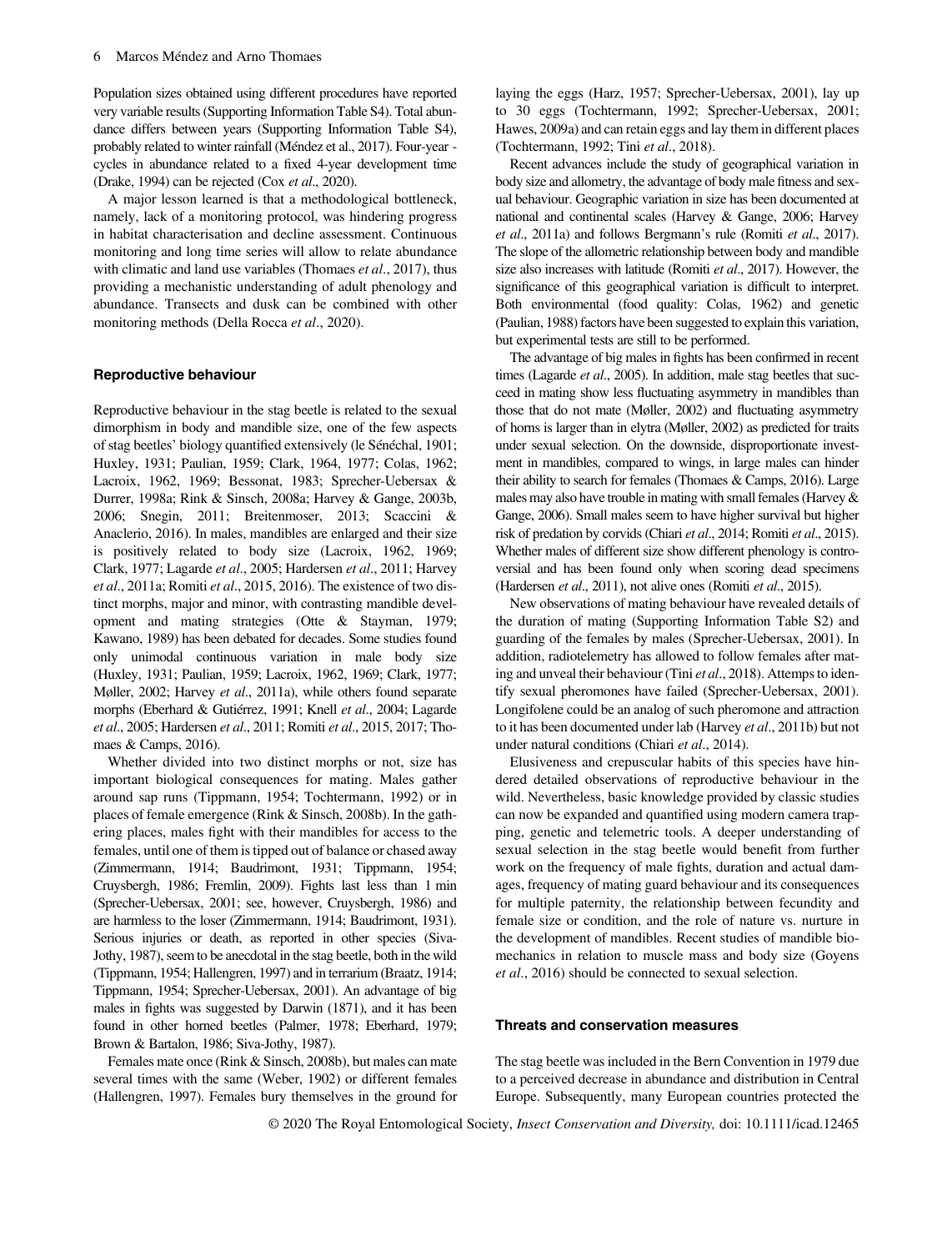Population sizes obtained using different procedures have reported very variable results (Supporting Information Table S4). Total abundance differs between years (Supporting Information Table S4), probably related to winter rainfall (Méndez et al., 2017). Four-year cycles in abundance related to a fixed 4-year development time (Drake, 1994) can be rejected (Cox et al., 2020).

A major lesson learned is that a methodological bottleneck, namely, lack of a monitoring protocol, was hindering progress in habitat characterisation and decline assessment. Continuous monitoring and long time series will allow to relate abundance with climatic and land use variables (Thomaes et al., 2017), thus providing a mechanistic understanding of adult phenology and abundance. Transects and dusk can be combined with other monitoring methods (Della Rocca et al., 2020).

#### Reproductive behaviour

Reproductive behaviour in the stag beetle is related to the sexual dimorphism in body and mandible size, one of the few aspects of stag beetles' biology quantified extensively (le Sénéchal, 1901; Huxley, 1931; Paulian, 1959; Clark, 1964, 1977; Colas, 1962; Lacroix, 1962, 1969; Bessonat, 1983; Sprecher-Uebersax & Durrer, 1998a; Rink & Sinsch, 2008a; Harvey & Gange, 2003b, 2006; Snegin, 2011; Breitenmoser, 2013; Scaccini & Anaclerio, 2016). In males, mandibles are enlarged and their size is positively related to body size (Lacroix, 1962, 1969; Clark, 1977; Lagarde et al., 2005; Hardersen et al., 2011; Harvey et al., 2011a; Romiti et al., 2015, 2016). The existence of two distinct morphs, major and minor, with contrasting mandible development and mating strategies (Otte & Stayman, 1979; Kawano, 1989) has been debated for decades. Some studies found only unimodal continuous variation in male body size (Huxley, 1931; Paulian, 1959; Lacroix, 1962, 1969; Clark, 1977; Møller, 2002; Harvey et al., 2011a), while others found separate morphs (Eberhard & Gutiérrez, 1991; Knell et al., 2004; Lagarde et al., 2005; Hardersen et al., 2011; Romiti et al., 2015, 2017; Thomaes & Camps, 2016).

Whether divided into two distinct morphs or not, size has important biological consequences for mating. Males gather around sap runs (Tippmann, 1954; Tochtermann, 1992) or in places of female emergence (Rink & Sinsch, 2008b). In the gathering places, males fight with their mandibles for access to the females, until one of them is tipped out of balance or chased away (Zimmermann, 1914; Baudrimont, 1931; Tippmann, 1954; Cruysbergh, 1986; Fremlin, 2009). Fights last less than 1 min (Sprecher-Uebersax, 2001; see, however, Cruysbergh, 1986) and are harmless to the loser (Zimmermann, 1914; Baudrimont, 1931). Serious injuries or death, as reported in other species (Siva-Jothy, 1987), seem to be anecdotal in the stag beetle, both in the wild (Tippmann, 1954; Hallengren, 1997) and in terrarium (Braatz, 1914; Tippmann, 1954; Sprecher-Uebersax, 2001). An advantage of big males in fights was suggested by Darwin (1871), and it has been found in other horned beetles (Palmer, 1978; Eberhard, 1979; Brown & Bartalon, 1986; Siva-Jothy, 1987).

Females mate once (Rink & Sinsch, 2008b), but males can mate several times with the same (Weber, 1902) or different females (Hallengren, 1997). Females bury themselves in the ground for laying the eggs (Harz, 1957; Sprecher-Uebersax, 2001), lay up to 30 eggs (Tochtermann, 1992; Sprecher-Uebersax, 2001; Hawes, 2009a) and can retain eggs and lay them in different places (Tochtermann, 1992; Tini et al., 2018).

Recent advances include the study of geographical variation in body size and allometry, the advantage of body male fitness and sexual behaviour. Geographic variation in size has been documented at national and continental scales (Harvey & Gange, 2006; Harvey et al., 2011a) and follows Bergmann's rule (Romiti et al., 2017). The slope of the allometric relationship between body and mandible size also increases with latitude (Romiti et al., 2017). However, the significance of this geographical variation is difficult to interpret. Both environmental (food quality: Colas, 1962) and genetic (Paulian, 1988) factors have been suggested to explain this variation, but experimental tests are still to be performed.

The advantage of big males in fights has been confirmed in recent times (Lagarde et al., 2005). In addition, male stag beetles that succeed in mating show less fluctuating asymmetry in mandibles than those that do not mate (Møller, 2002) and fluctuating asymmetry of horns is larger than in elytra (Møller, 2002) as predicted for traits under sexual selection. On the downside, disproportionate investment in mandibles, compared to wings, in large males can hinder their ability to search for females (Thomaes & Camps, 2016). Large males may also have trouble in mating with small females (Harvey & Gange, 2006). Small males seem to have higher survival but higher risk of predation by corvids (Chiari et al., 2014; Romiti et al., 2015). Whether males of different size show different phenology is controversial and has been found only when scoring dead specimens (Hardersen et al., 2011), not alive ones (Romiti et al., 2015).

New observations of mating behaviour have revealed details of the duration of mating (Supporting Information Table S2) and guarding of the females by males (Sprecher-Uebersax, 2001). In addition, radiotelemetry has allowed to follow females after mating and unveal their behaviour (Tini et al., 2018). Attemps to identify sexual pheromones have failed (Sprecher-Uebersax, 2001). Longifolene could be an analog of such pheromone and attraction to it has been documented under lab (Harvey et al., 2011b) but not under natural conditions (Chiari et al., 2014).

Elusiveness and crepuscular habits of this species have hindered detailed observations of reproductive behaviour in the wild. Nevertheless, basic knowledge provided by classic studies can now be expanded and quantified using modern camera trapping, genetic and telemetric tools. A deeper understanding of sexual selection in the stag beetle would benefit from further work on the frequency of male fights, duration and actual damages, frequency of mating guard behaviour and its consequences for multiple paternity, the relationship between fecundity and female size or condition, and the role of nature vs. nurture in the development of mandibles. Recent studies of mandible biomechanics in relation to muscle mass and body size (Goyens et al., 2016) should be connected to sexual selection.

#### Threats and conservation measures

The stag beetle was included in the Bern Convention in 1979 due to a perceived decrease in abundance and distribution in Central Europe. Subsequently, many European countries protected the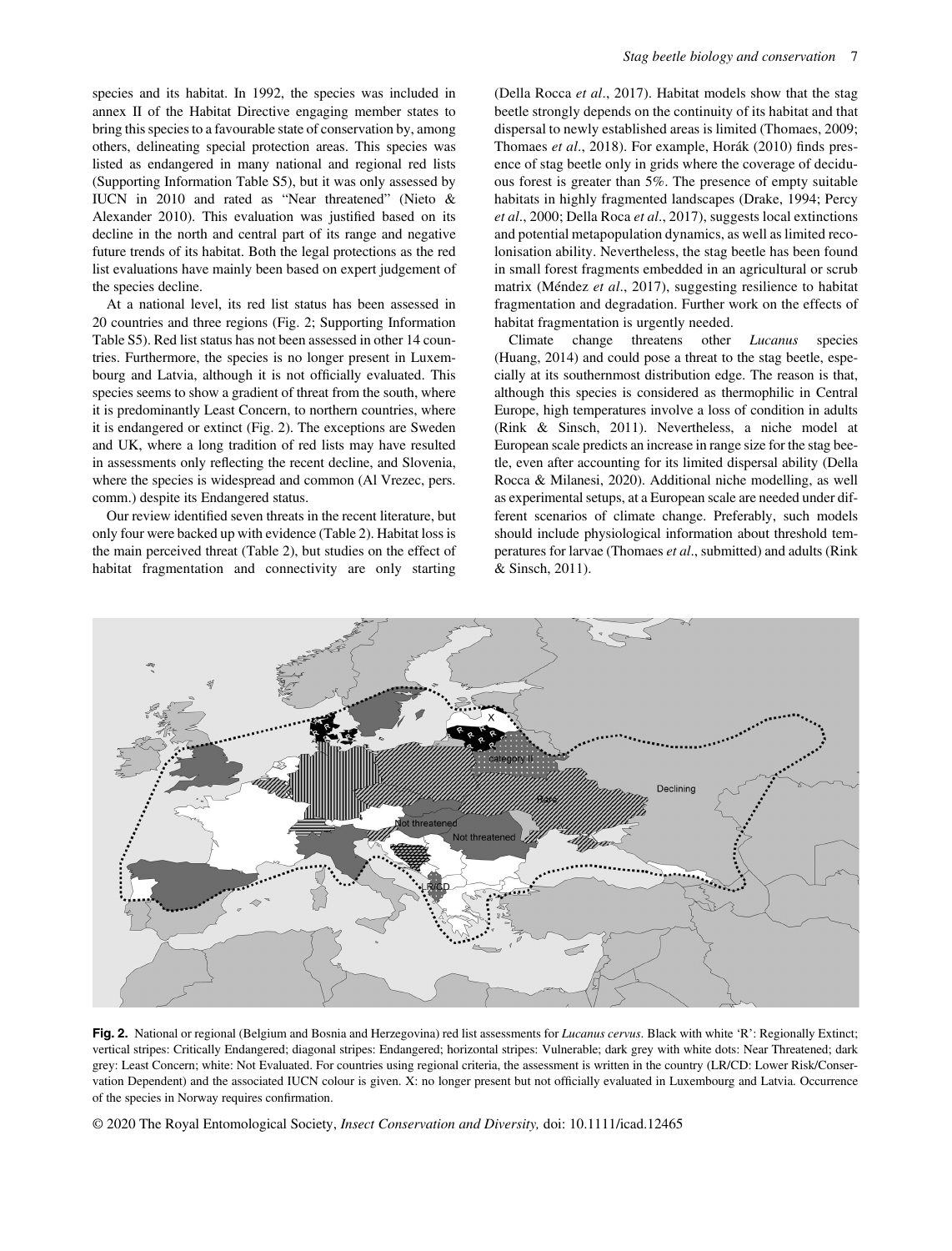species and its habitat. In 1992, the species was included in annex II of the Habitat Directive engaging member states to bring this species to a favourable state of conservation by, among others, delineating special protection areas. This species was listed as endangered in many national and regional red lists (Supporting Information Table S5), but it was only assessed by IUCN in 2010 and rated as "Near threatened" (Nieto & Alexander 2010). This evaluation was justified based on its decline in the north and central part of its range and negative future trends of its habitat. Both the legal protections as the red list evaluations have mainly been based on expert judgement of the species decline.

At a national level, its red list status has been assessed in 20 countries and three regions (Fig. 2; Supporting Information Table S5). Red list status has not been assessed in other 14 countries. Furthermore, the species is no longer present in Luxembourg and Latvia, although it is not officially evaluated. This species seems to show a gradient of threat from the south, where it is predominantly Least Concern, to northern countries, where it is endangered or extinct (Fig. 2). The exceptions are Sweden and UK, where a long tradition of red lists may have resulted in assessments only reflecting the recent decline, and Slovenia, where the species is widespread and common (Al Vrezec, pers. comm.) despite its Endangered status.

Our review identified seven threats in the recent literature, but only four were backed up with evidence (Table 2). Habitat loss is the main perceived threat (Table 2), but studies on the effect of habitat fragmentation and connectivity are only starting

(Della Rocca et al., 2017). Habitat models show that the stag beetle strongly depends on the continuity of its habitat and that dispersal to newly established areas is limited (Thomaes, 2009; Thomaes et al., 2018). For example, Horák (2010) finds presence of stag beetle only in grids where the coverage of deciduous forest is greater than 5%. The presence of empty suitable habitats in highly fragmented landscapes (Drake, 1994; Percy et al., 2000; Della Roca et al., 2017), suggests local extinctions and potential metapopulation dynamics, as well as limited recolonisation ability. Nevertheless, the stag beetle has been found in small forest fragments embedded in an agricultural or scrub matrix (Méndez et al., 2017), suggesting resilience to habitat fragmentation and degradation. Further work on the effects of habitat fragmentation is urgently needed.

Climate change threatens other Lucanus species (Huang, 2014) and could pose a threat to the stag beetle, especially at its southernmost distribution edge. The reason is that, although this species is considered as thermophilic in Central Europe, high temperatures involve a loss of condition in adults (Rink & Sinsch, 2011). Nevertheless, a niche model at European scale predicts an increase in range size for the stag beetle, even after accounting for its limited dispersal ability (Della Rocca & Milanesi, 2020). Additional niche modelling, as well as experimental setups, at a European scale are needed under different scenarios of climate change. Preferably, such models should include physiological information about threshold temperatures for larvae (Thomaes et al., submitted) and adults (Rink & Sinsch, 2011).



Fig. 2. National or regional (Belgium and Bosnia and Herzegovina) red list assessments for Lucanus cervus. Black with white 'R': Regionally Extinct; vertical stripes: Critically Endangered; diagonal stripes: Endangered; horizontal stripes: Vulnerable; dark grey with white dots: Near Threatened; dark grey: Least Concern; white: Not Evaluated. For countries using regional criteria, the assessment is written in the country (LR/CD: Lower Risk/Conservation Dependent) and the associated IUCN colour is given. X: no longer present but not officially evaluated in Luxembourg and Latvia. Occurrence of the species in Norway requires confirmation.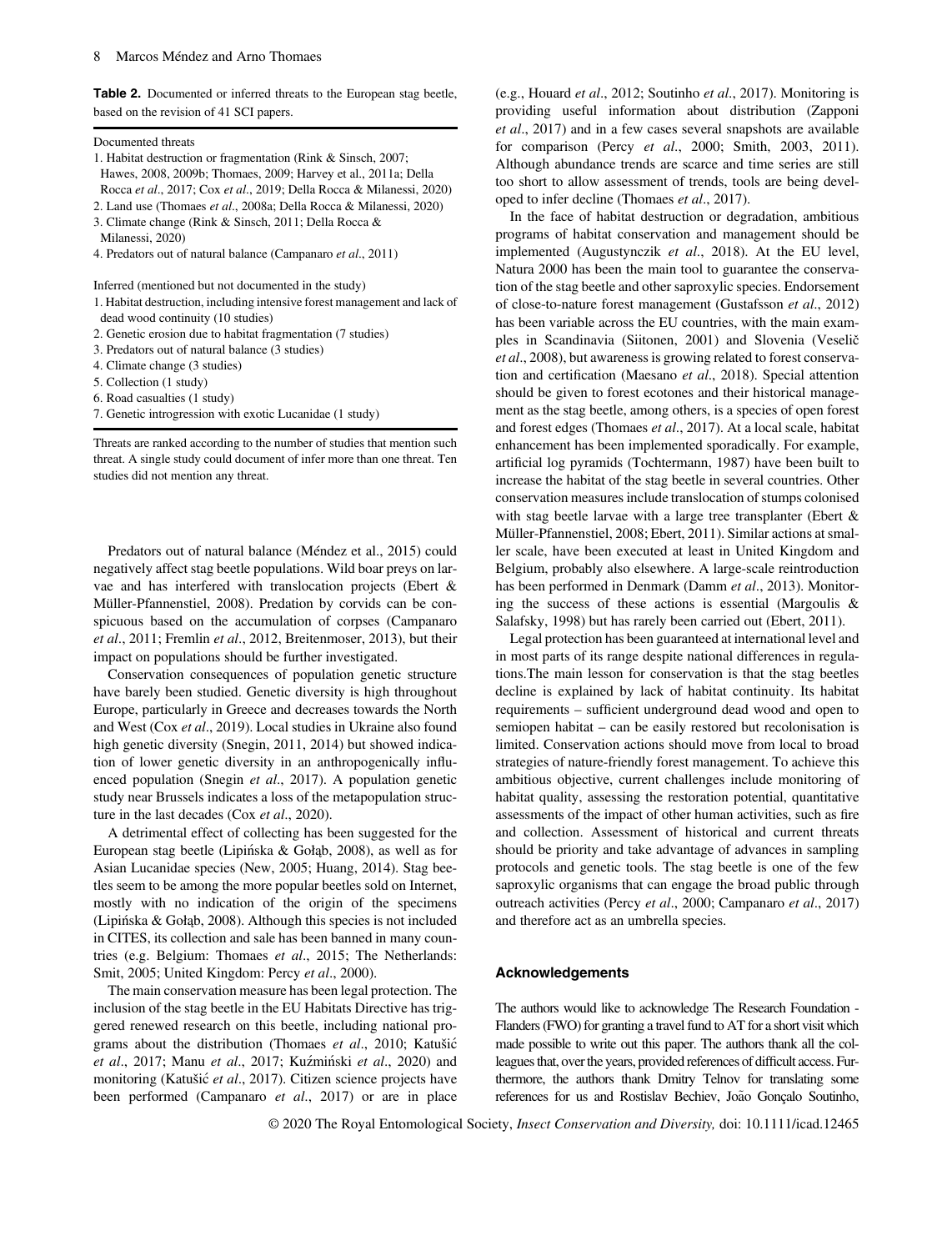Table 2. Documented or inferred threats to the European stag beetle, based on the revision of 41 SCI papers.

#### Documented threats

- 1. Habitat destruction or fragmentation (Rink & Sinsch, 2007; Hawes, 2008, 2009b; Thomaes, 2009; Harvey et al., 2011a; Della Rocca et al., 2017; Cox et al., 2019; Della Rocca & Milanessi, 2020)
- 2. Land use (Thomaes et al., 2008a; Della Rocca & Milanessi, 2020)
- 3. Climate change (Rink & Sinsch, 2011; Della Rocca &
- Milanessi, 2020)
- 4. Predators out of natural balance (Campanaro et al., 2011)

Inferred (mentioned but not documented in the study)

- 1. Habitat destruction, including intensive forest management and lack of dead wood continuity (10 studies)
- 2. Genetic erosion due to habitat fragmentation (7 studies)
- 3. Predators out of natural balance (3 studies)
- 4. Climate change (3 studies)
- 5. Collection (1 study)
- 6. Road casualties (1 study)
- 7. Genetic introgression with exotic Lucanidae (1 study)

Threats are ranked according to the number of studies that mention such threat. A single study could document of infer more than one threat. Ten studies did not mention any threat.

Predators out of natural balance (Méndez et al., 2015) could negatively affect stag beetle populations. Wild boar preys on larvae and has interfered with translocation projects (Ebert & Müller-Pfannenstiel, 2008). Predation by corvids can be conspicuous based on the accumulation of corpses (Campanaro et al., 2011; Fremlin et al., 2012, Breitenmoser, 2013), but their impact on populations should be further investigated.

Conservation consequences of population genetic structure have barely been studied. Genetic diversity is high throughout Europe, particularly in Greece and decreases towards the North and West (Cox et al., 2019). Local studies in Ukraine also found high genetic diversity (Snegin, 2011, 2014) but showed indication of lower genetic diversity in an anthropogenically influenced population (Snegin et al., 2017). A population genetic study near Brussels indicates a loss of the metapopulation structure in the last decades (Cox et al., 2020).

A detrimental effect of collecting has been suggested for the European stag beetle (Lipinska & Gołąb, 2008), as well as for Asian Lucanidae species (New, 2005; Huang, 2014). Stag beetles seem to be among the more popular beetles sold on Internet, mostly with no indication of the origin of the specimens (Lipinska & Gołąb, 2008). Although this species is not included in CITES, its collection and sale has been banned in many countries (e.g. Belgium: Thomaes et al., 2015; The Netherlands: Smit, 2005; United Kingdom: Percy et al., 2000).

The main conservation measure has been legal protection. The inclusion of the stag beetle in the EU Habitats Directive has triggered renewed research on this beetle, including national programs about the distribution (Thomaes et al., 2010; Katušic et al., 2017; Manu et al., 2017; Kuźmiński et al., 2020) and monitoring (Katušić et al., 2017). Citizen science projects have been performed (Campanaro et al., 2017) or are in place

(e.g., Houard et al., 2012; Soutinho et al., 2017). Monitoring is providing useful information about distribution (Zapponi et al., 2017) and in a few cases several snapshots are available for comparison (Percy et al., 2000; Smith, 2003, 2011). Although abundance trends are scarce and time series are still too short to allow assessment of trends, tools are being developed to infer decline (Thomaes et al., 2017).

In the face of habitat destruction or degradation, ambitious programs of habitat conservation and management should be implemented (Augustynczik et al., 2018). At the EU level, Natura 2000 has been the main tool to guarantee the conservation of the stag beetle and other saproxylic species. Endorsement of close-to-nature forest management (Gustafsson et al., 2012) has been variable across the EU countries, with the main examples in Scandinavia (Siitonen, 2001) and Slovenia (Veselič et al., 2008), but awareness is growing related to forest conservation and certification (Maesano et al., 2018). Special attention should be given to forest ecotones and their historical management as the stag beetle, among others, is a species of open forest and forest edges (Thomaes et al., 2017). At a local scale, habitat enhancement has been implemented sporadically. For example, artificial log pyramids (Tochtermann, 1987) have been built to increase the habitat of the stag beetle in several countries. Other conservation measures include translocation of stumps colonised with stag beetle larvae with a large tree transplanter (Ebert & Müller-Pfannenstiel, 2008; Ebert, 2011). Similar actions at smaller scale, have been executed at least in United Kingdom and Belgium, probably also elsewhere. A large-scale reintroduction has been performed in Denmark (Damm et al., 2013). Monitoring the success of these actions is essential (Margoulis & Salafsky, 1998) but has rarely been carried out (Ebert, 2011).

Legal protection has been guaranteed at international level and in most parts of its range despite national differences in regulations.The main lesson for conservation is that the stag beetles decline is explained by lack of habitat continuity. Its habitat requirements – sufficient underground dead wood and open to semiopen habitat – can be easily restored but recolonisation is limited. Conservation actions should move from local to broad strategies of nature-friendly forest management. To achieve this ambitious objective, current challenges include monitoring of habitat quality, assessing the restoration potential, quantitative assessments of the impact of other human activities, such as fire and collection. Assessment of historical and current threats should be priority and take advantage of advances in sampling protocols and genetic tools. The stag beetle is one of the few saproxylic organisms that can engage the broad public through outreach activities (Percy et al., 2000; Campanaro et al., 2017) and therefore act as an umbrella species.

#### Acknowledgements

The authors would like to acknowledge The Research Foundation - Flanders (FWO) for granting a travel fund to AT for a short visit which made possible to write out this paper. The authors thank all the colleagues that, over the years, provided references of difficult access. Furthermore, the authors thank Dmitry Telnov for translating some references for us and Rostislav Bechiev, João Gonçalo Soutinho,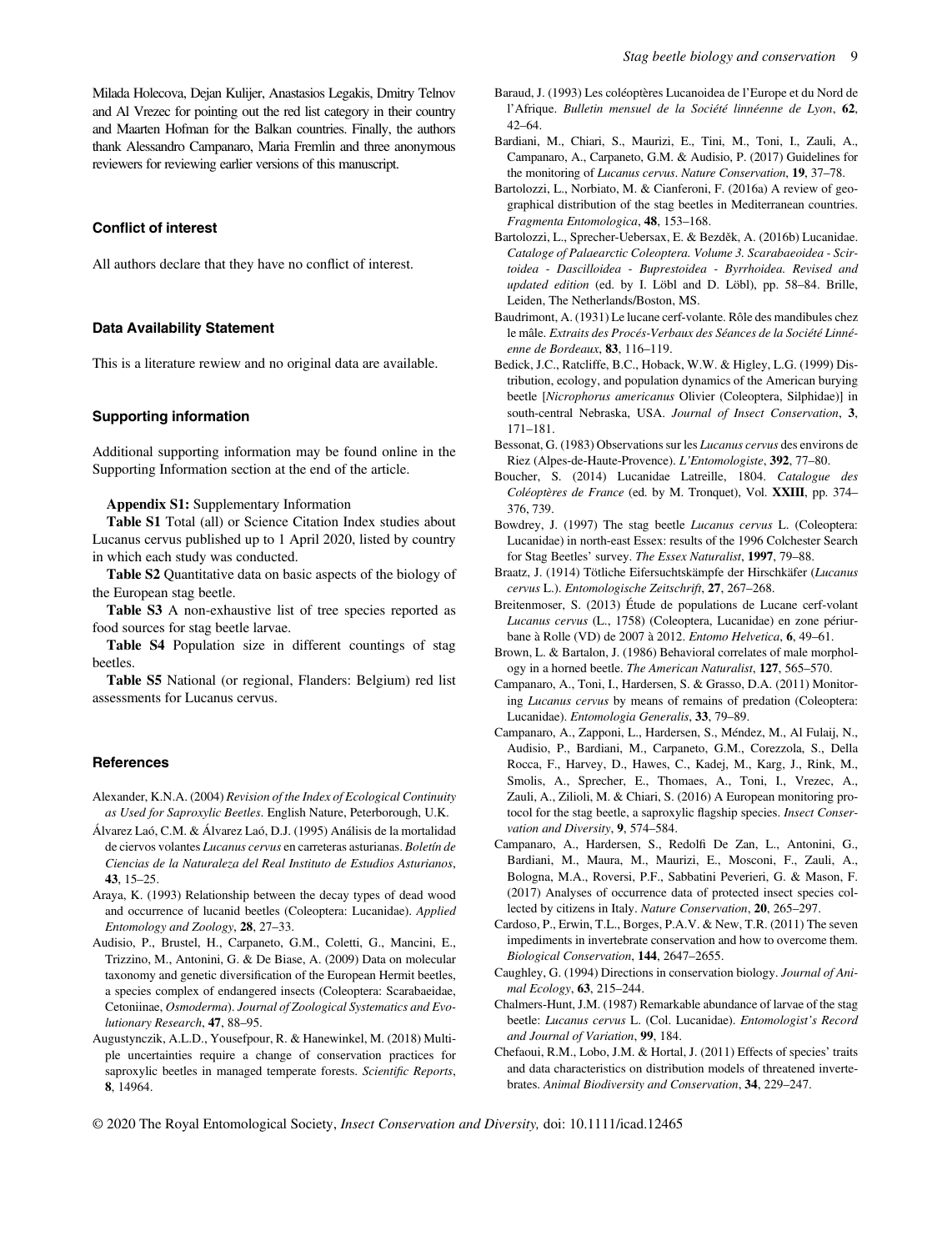Milada Holecova, Dejan Kulijer, Anastasios Legakis, Dmitry Telnov and Al Vrezec for pointing out the red list category in their country and Maarten Hofman for the Balkan countries. Finally, the authors thank Alessandro Campanaro, Maria Fremlin and three anonymous reviewers for reviewing earlier versions of this manuscript.

#### Conflict of interest

All authors declare that they have no conflict of interest.

# Data Availability Statement

This is a literature rewiew and no original data are available.

#### Supporting information

Additional supporting information may be found online in the Supporting Information section at the end of the article.

Appendix S1: Supplementary Information

Table S1 Total (all) or Science Citation Index studies about Lucanus cervus published up to 1 April 2020, listed by country in which each study was conducted.

Table S2 Quantitative data on basic aspects of the biology of the European stag beetle.

Table S3 A non-exhaustive list of tree species reported as food sources for stag beetle larvae.

Table S4 Population size in different countings of stag beetles.

Table S5 National (or regional, Flanders: Belgium) red list assessments for Lucanus cervus.

#### **References**

- Alexander, K.N.A. (2004) Revision of the Index of Ecological Continuity as Used for Saproxylic Beetles. English Nature, Peterborough, U.K.
- Alvarez Laó, C.M. & Alvarez Laó, D.J. (1995) Análisis de la mortalidad de ciervos volantes Lucanus cervus en carreteras asturianas. Boletín de Ciencias de la Naturaleza del Real Instituto de Estudios Asturianos, 43, 15–25.
- Araya, K. (1993) Relationship between the decay types of dead wood and occurrence of lucanid beetles (Coleoptera: Lucanidae). Applied Entomology and Zoology, 28, 27–33.
- Audisio, P., Brustel, H., Carpaneto, G.M., Coletti, G., Mancini, E., Trizzino, M., Antonini, G. & De Biase, A. (2009) Data on molecular taxonomy and genetic diversification of the European Hermit beetles, a species complex of endangered insects (Coleoptera: Scarabaeidae, Cetoniinae, Osmoderma). Journal of Zoological Systematics and Evolutionary Research, 47, 88–95.
- Augustynczik, A.L.D., Yousefpour, R. & Hanewinkel, M. (2018) Multiple uncertainties require a change of conservation practices for saproxylic beetles in managed temperate forests. Scientific Reports, 8, 14964.
- Baraud, J. (1993) Les coléoptères Lucanoidea de l'Europe et du Nord de l'Afrique. Bulletin mensuel de la Société linnéenne de Lyon, 62, 42–64.
- Bardiani, M., Chiari, S., Maurizi, E., Tini, M., Toni, I., Zauli, A., Campanaro, A., Carpaneto, G.M. & Audisio, P. (2017) Guidelines for the monitoring of Lucanus cervus. Nature Conservation, 19, 37–78.
- Bartolozzi, L., Norbiato, M. & Cianferoni, F. (2016a) A review of geographical distribution of the stag beetles in Mediterranean countries. Fragmenta Entomologica, 48, 153–168.
- Bartolozzi, L., Sprecher-Uebersax, E. & Bezděk, A. (2016b) Lucanidae. Cataloge of Palaearctic Coleoptera. Volume 3. Scarabaeoidea - Scirtoidea - Dascilloidea - Buprestoidea - Byrrhoidea. Revised and updated edition (ed. by I. Löbl and D. Löbl), pp. 58–84. Brille, Leiden, The Netherlands/Boston, MS.
- Baudrimont, A. (1931) Le lucane cerf-volante. Rôle des mandibules chez le mâle. Extraits des Procés-Verbaux des Séances de la Société Linnéenne de Bordeaux, 83, 116–119.
- Bedick, J.C., Ratcliffe, B.C., Hoback, W.W. & Higley, L.G. (1999) Distribution, ecology, and population dynamics of the American burying beetle [Nicrophorus americanus Olivier (Coleoptera, Silphidae)] in south-central Nebraska, USA. Journal of Insect Conservation, 3, 171–181.
- Bessonat, G. (1983) Observations sur les Lucanus cervus des environs de Riez (Alpes-de-Haute-Provence). L'Entomologiste, 392, 77–80.
- Boucher, S. (2014) Lucanidae Latreille, 1804. Catalogue des Coléoptères de France (ed. by M. Tronquet), Vol. XXIII, pp. 374– 376, 739.
- Bowdrey, J. (1997) The stag beetle Lucanus cervus L. (Coleoptera: Lucanidae) in north-east Essex: results of the 1996 Colchester Search for Stag Beetles' survey. The Essex Naturalist, 1997, 79–88.
- Braatz, J. (1914) Tötliche Eifersuchtskämpfe der Hirschkäfer (Lucanus cervus L.). Entomologische Zeitschrift, 27, 267–268.
- Breitenmoser, S. (2013) Étude de populations de Lucane cerf-volant Lucanus cervus (L., 1758) (Coleoptera, Lucanidae) en zone périurbane à Rolle (VD) de 2007 à 2012. Entomo Helvetica, 6, 49–61.
- Brown, L. & Bartalon, J. (1986) Behavioral correlates of male morphology in a horned beetle. The American Naturalist, 127, 565–570.
- Campanaro, A., Toni, I., Hardersen, S. & Grasso, D.A. (2011) Monitoring Lucanus cervus by means of remains of predation (Coleoptera: Lucanidae). Entomologia Generalis, 33, 79–89.
- Campanaro, A., Zapponi, L., Hardersen, S., Méndez, M., Al Fulaij, N., Audisio, P., Bardiani, M., Carpaneto, G.M., Corezzola, S., Della Rocca, F., Harvey, D., Hawes, C., Kadej, M., Karg, J., Rink, M., Smolis, A., Sprecher, E., Thomaes, A., Toni, I., Vrezec, A., Zauli, A., Zilioli, M. & Chiari, S. (2016) A European monitoring protocol for the stag beetle, a saproxylic flagship species. Insect Conservation and Diversity, 9, 574–584.
- Campanaro, A., Hardersen, S., Redolfi De Zan, L., Antonini, G., Bardiani, M., Maura, M., Maurizi, E., Mosconi, F., Zauli, A., Bologna, M.A., Roversi, P.F., Sabbatini Peverieri, G. & Mason, F. (2017) Analyses of occurrence data of protected insect species collected by citizens in Italy. Nature Conservation, 20, 265–297.
- Cardoso, P., Erwin, T.L., Borges, P.A.V. & New, T.R. (2011) The seven impediments in invertebrate conservation and how to overcome them. Biological Conservation, 144, 2647–2655.
- Caughley, G. (1994) Directions in conservation biology. Journal of Animal Ecology, 63, 215–244.
- Chalmers-Hunt, J.M. (1987) Remarkable abundance of larvae of the stag beetle: Lucanus cervus L. (Col. Lucanidae). Entomologist's Record and Journal of Variation, 99, 184.
- Chefaoui, R.M., Lobo, J.M. & Hortal, J. (2011) Effects of species' traits and data characteristics on distribution models of threatened invertebrates. Animal Biodiversity and Conservation, 34, 229–247.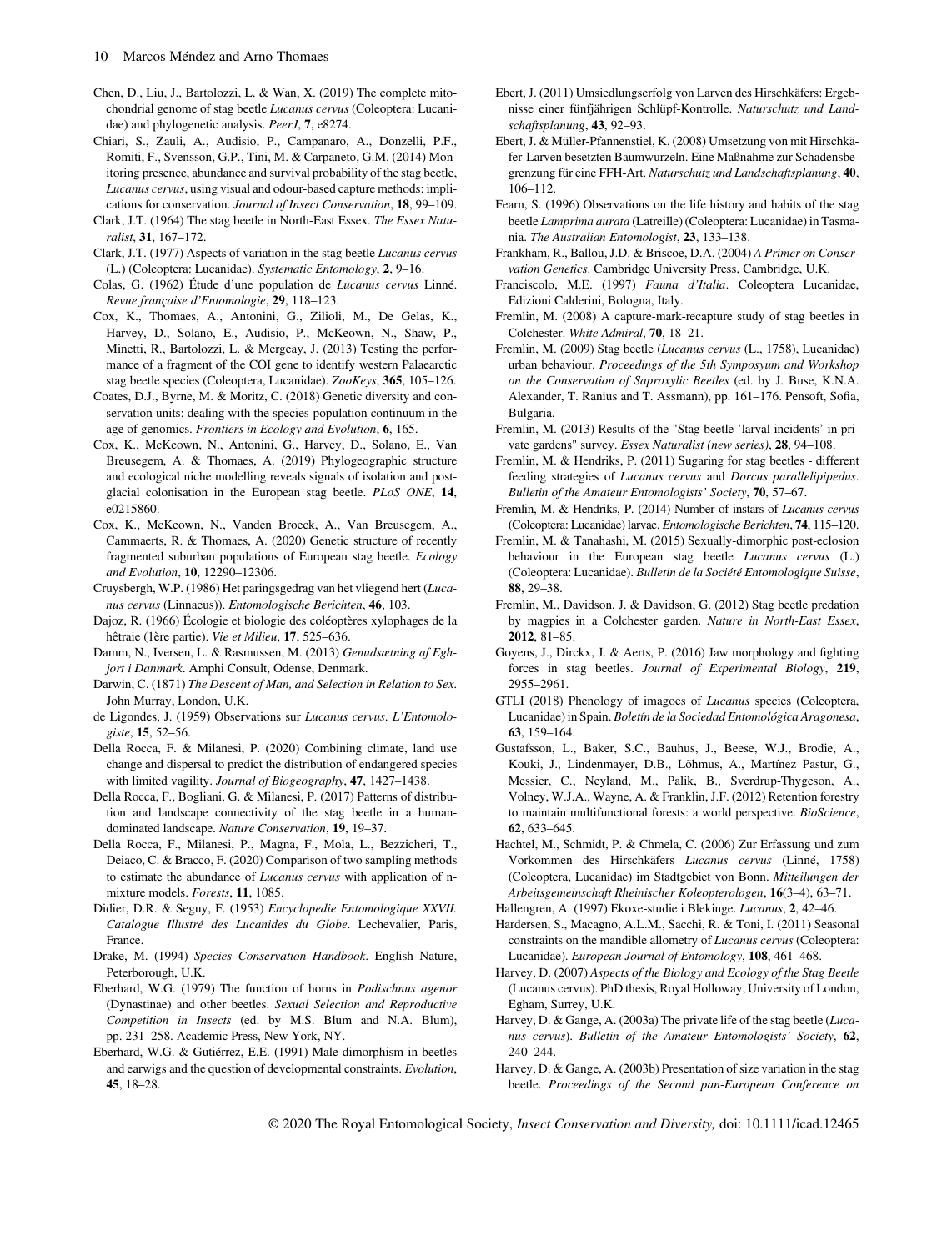- Chen, D., Liu, J., Bartolozzi, L. & Wan, X. (2019) The complete mitochondrial genome of stag beetle Lucanus cervus (Coleoptera: Lucanidae) and phylogenetic analysis. PeerJ, 7, e8274.
- Chiari, S., Zauli, A., Audisio, P., Campanaro, A., Donzelli, P.F., Romiti, F., Svensson, G.P., Tini, M. & Carpaneto, G.M. (2014) Monitoring presence, abundance and survival probability of the stag beetle, Lucanus cervus, using visual and odour-based capture methods: implications for conservation. Journal of Insect Conservation, 18, 99–109.
- Clark, J.T. (1964) The stag beetle in North-East Essex. The Essex Naturalist, 31, 167–172.
- Clark, J.T. (1977) Aspects of variation in the stag beetle Lucanus cervus (L.) (Coleoptera: Lucanidae). Systematic Entomology, 2, 9–16.
- Colas, G. (1962) Étude d'une population de Lucanus cervus Linné. Revue française d'Entomologie, 29, 118–123.
- Cox, K., Thomaes, A., Antonini, G., Zilioli, M., De Gelas, K., Harvey, D., Solano, E., Audisio, P., McKeown, N., Shaw, P., Minetti, R., Bartolozzi, L. & Mergeay, J. (2013) Testing the performance of a fragment of the COI gene to identify western Palaearctic stag beetle species (Coleoptera, Lucanidae). ZooKeys, 365, 105–126.
- Coates, D.J., Byrne, M. & Moritz, C. (2018) Genetic diversity and conservation units: dealing with the species-population continuum in the age of genomics. Frontiers in Ecology and Evolution, 6, 165.
- Cox, K., McKeown, N., Antonini, G., Harvey, D., Solano, E., Van Breusegem, A. & Thomaes, A. (2019) Phylogeographic structure and ecological niche modelling reveals signals of isolation and postglacial colonisation in the European stag beetle. PLoS ONE, 14, e0215860.
- Cox, K., McKeown, N., Vanden Broeck, A., Van Breusegem, A., Cammaerts, R. & Thomaes, A. (2020) Genetic structure of recently fragmented suburban populations of European stag beetle. Ecology and Evolution, 10, 12290–12306.
- Cruysbergh, W.P. (1986) Het paringsgedrag van het vliegend hert (Lucanus cervus (Linnaeus)). Entomologische Berichten, 46, 103.
- Dajoz, R. (1966) Écologie et biologie des coléoptères xylophages de la hêtraie (1ère partie). Vie et Milieu, 17, 525–636.
- Damm, N., Iversen, L. & Rasmussen, M. (2013) Genudsætning af Eghjort i Danmark. Amphi Consult, Odense, Denmark.
- Darwin, C. (1871) The Descent of Man, and Selection in Relation to Sex. John Murray, London, U.K.
- de Ligondes, J. (1959) Observations sur Lucanus cervus. L'Entomologiste, 15, 52–56.
- Della Rocca, F. & Milanesi, P. (2020) Combining climate, land use change and dispersal to predict the distribution of endangered species with limited vagility. Journal of Biogeography, 47, 1427–1438.
- Della Rocca, F., Bogliani, G. & Milanesi, P. (2017) Patterns of distribution and landscape connectivity of the stag beetle in a humandominated landscape. Nature Conservation, 19, 19–37.
- Della Rocca, F., Milanesi, P., Magna, F., Mola, L., Bezzicheri, T., Deiaco, C. & Bracco, F. (2020) Comparison of two sampling methods to estimate the abundance of Lucanus cervus with application of nmixture models. Forests, 11, 1085.
- Didier, D.R. & Seguy, F. (1953) Encyclopedie Entomologique XXVII. Catalogue Illustré des Lucanides du Globe. Lechevalier, Paris, France.
- Drake, M. (1994) Species Conservation Handbook. English Nature, Peterborough, U.K.
- Eberhard, W.G. (1979) The function of horns in Podischnus agenor (Dynastinae) and other beetles. Sexual Selection and Reproductive Competition in Insects (ed. by M.S. Blum and N.A. Blum), pp. 231–258. Academic Press, New York, NY.
- Eberhard, W.G. & Gutiérrez, E.E. (1991) Male dimorphism in beetles and earwigs and the question of developmental constraints. Evolution, 45, 18–28.
- Ebert, J. (2011) Umsiedlungserfolg von Larven des Hirschkäfers: Ergebnisse einer fünfjährigen Schlüpf-Kontrolle. Naturschutz und Landschaftsplanung, 43, 92–93.
- Ebert, J. & Müller-Pfannenstiel, K. (2008) Umsetzung von mit Hirschkäfer-Larven besetzten Baumwurzeln. Eine Maßnahme zur Schadensbegrenzung für eine FFH-Art. Naturschutz und Landschaftsplanung, 40, 106–112.
- Fearn, S. (1996) Observations on the life history and habits of the stag beetle Lamprima aurata (Latreille) (Coleoptera: Lucanidae) in Tasmania. The Australian Entomologist, 23, 133–138.
- Frankham, R., Ballou, J.D. & Briscoe, D.A. (2004) A Primer on Conservation Genetics. Cambridge University Press, Cambridge, U.K.
- Franciscolo, M.E. (1997) Fauna d'Italia. Coleoptera Lucanidae, Edizioni Calderini, Bologna, Italy.
- Fremlin, M. (2008) A capture-mark-recapture study of stag beetles in Colchester. White Admiral, 70, 18–21.
- Fremlin, M. (2009) Stag beetle (Lucanus cervus (L., 1758), Lucanidae) urban behaviour. Proceedings of the 5th Symposyum and Workshop on the Conservation of Saproxylic Beetles (ed. by J. Buse, K.N.A. Alexander, T. Ranius and T. Assmann), pp. 161–176. Pensoft, Sofia, Bulgaria.
- Fremlin, M. (2013) Results of the "Stag beetle 'larval incidents' in private gardens" survey. Essex Naturalist (new series), 28, 94–108.
- Fremlin, M. & Hendriks, P. (2011) Sugaring for stag beetles different feeding strategies of Lucanus cervus and Dorcus parallelipipedus. Bulletin of the Amateur Entomologists' Society, 70, 57–67.
- Fremlin, M. & Hendriks, P. (2014) Number of instars of Lucanus cervus (Coleoptera: Lucanidae) larvae. Entomologische Berichten, 74, 115–120.
- Fremlin, M. & Tanahashi, M. (2015) Sexually-dimorphic post-eclosion behaviour in the European stag beetle *Lucanus cervus* (L.) (Coleoptera: Lucanidae). Bulletin de la Société Entomologique Suisse, 88, 29–38.
- Fremlin, M., Davidson, J. & Davidson, G. (2012) Stag beetle predation by magpies in a Colchester garden. Nature in North-East Essex, 2012, 81–85.
- Goyens, J., Dirckx, J. & Aerts, P. (2016) Jaw morphology and fighting forces in stag beetles. Journal of Experimental Biology, 219, 2955–2961.
- GTLI (2018) Phenology of imagoes of Lucanus species (Coleoptera, Lucanidae) in Spain. Boletín de la Sociedad Entomológica Aragonesa, 63, 159–164.
- Gustafsson, L., Baker, S.C., Bauhus, J., Beese, W.J., Brodie, A., Kouki, J., Lindenmayer, D.B., Lõhmus, A., Martínez Pastur, G., Messier, C., Neyland, M., Palik, B., Sverdrup-Thygeson, A., Volney, W.J.A., Wayne, A. & Franklin, J.F. (2012) Retention forestry to maintain multifunctional forests: a world perspective. BioScience, 62, 633–645.
- Hachtel, M., Schmidt, P. & Chmela, C. (2006) Zur Erfassung und zum Vorkommen des Hirschkäfers Lucanus cervus (Linné, 1758) (Coleoptera, Lucanidae) im Stadtgebiet von Bonn. Mitteilungen der Arbeitsgemeinschaft Rheinischer Koleopterologen, 16(3–4), 63–71.
- Hallengren, A. (1997) Ekoxe-studie i Blekinge. Lucanus, 2, 42–46.
- Hardersen, S., Macagno, A.L.M., Sacchi, R. & Toni, I. (2011) Seasonal constraints on the mandible allometry of Lucanus cervus (Coleoptera: Lucanidae). European Journal of Entomology, 108, 461–468.
- Harvey, D. (2007) Aspects of the Biology and Ecology of the Stag Beetle (Lucanus cervus). PhD thesis, Royal Holloway, University of London, Egham, Surrey, U.K.
- Harvey, D. & Gange, A. (2003a) The private life of the stag beetle (Lucanus cervus). Bulletin of the Amateur Entomologists' Society, 62, 240–244.
- Harvey, D. & Gange, A. (2003b) Presentation of size variation in the stag beetle. Proceedings of the Second pan-European Conference on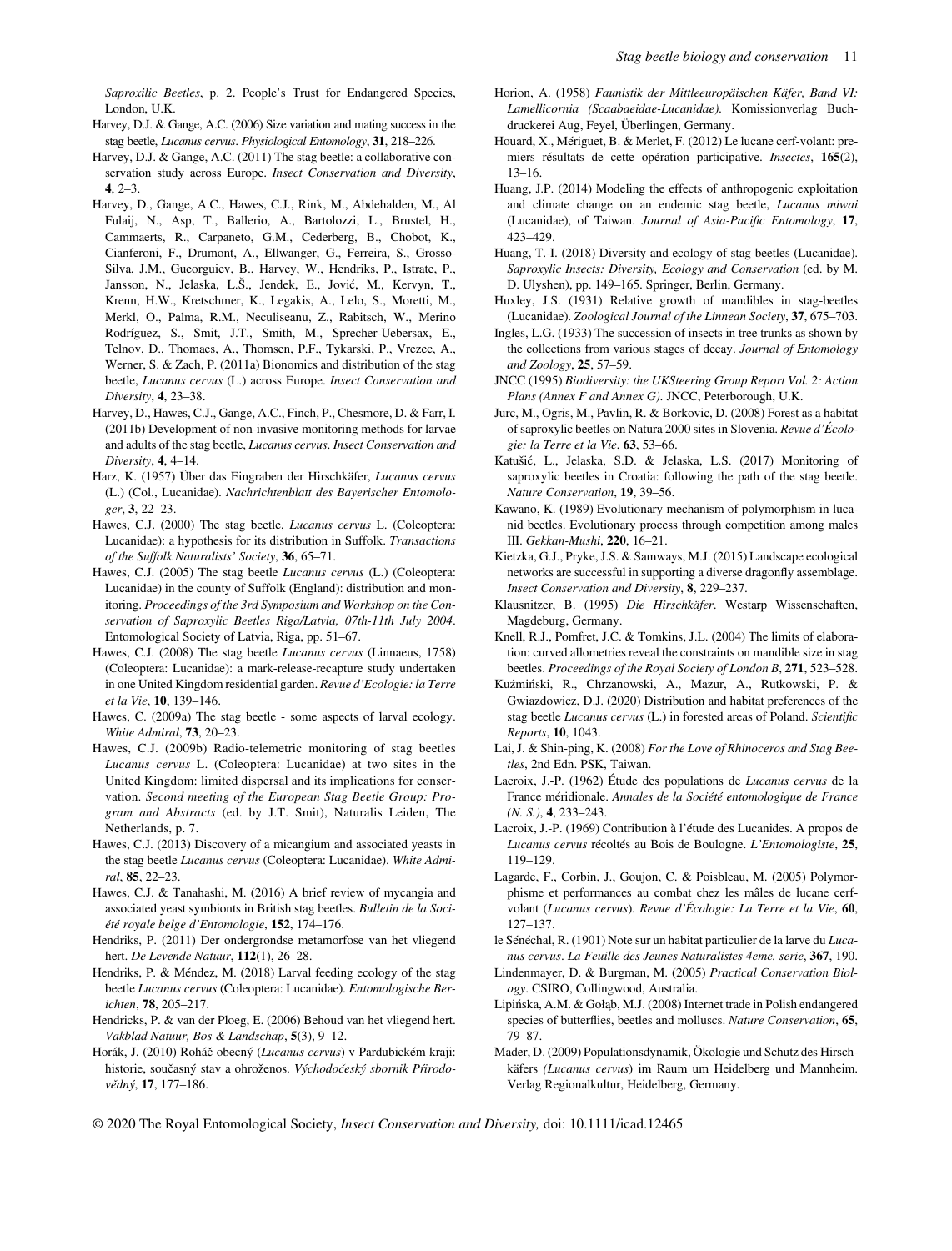Saproxilic Beetles, p. 2. People's Trust for Endangered Species, London, U.K.

- Harvey, D.J. & Gange, A.C. (2006) Size variation and mating success in the stag beetle, Lucanus cervus. Physiological Entomology, 31, 218–226.
- Harvey, D.J. & Gange, A.C. (2011) The stag beetle: a collaborative conservation study across Europe. Insect Conservation and Diversity,  $4, 2-3$
- Harvey, D., Gange, A.C., Hawes, C.J., Rink, M., Abdehalden, M., Al Fulaij, N., Asp, T., Ballerio, A., Bartolozzi, L., Brustel, H., Cammaerts, R., Carpaneto, G.M., Cederberg, B., Chobot, K., Cianferoni, F., Drumont, A., Ellwanger, G., Ferreira, S., Grosso-Silva, J.M., Gueorguiev, B., Harvey, W., Hendriks, P., Istrate, P., Jansson, N., Jelaska, L.Š., Jendek, E., Jovic, M., Kervyn, T., Krenn, H.W., Kretschmer, K., Legakis, A., Lelo, S., Moretti, M., Merkl, O., Palma, R.M., Neculiseanu, Z., Rabitsch, W., Merino Rodríguez, S., Smit, J.T., Smith, M., Sprecher-Uebersax, E., Telnov, D., Thomaes, A., Thomsen, P.F., Tykarski, P., Vrezec, A., Werner, S. & Zach, P. (2011a) Bionomics and distribution of the stag beetle, Lucanus cervus (L.) across Europe. Insect Conservation and Diversity, 4, 23–38.
- Harvey, D., Hawes, C.J., Gange, A.C., Finch, P., Chesmore, D. & Farr, I. (2011b) Development of non-invasive monitoring methods for larvae and adults of the stag beetle, Lucanus cervus. Insect Conservation and Diversity, 4, 4–14.
- Harz, K. (1957) Über das Eingraben der Hirschkäfer, Lucanus cervus (L.) (Col., Lucanidae). Nachrichtenblatt des Bayerischer Entomologer, 3, 22–23.
- Hawes, C.J. (2000) The stag beetle, Lucanus cervus L. (Coleoptera: Lucanidae): a hypothesis for its distribution in Suffolk. Transactions of the Suffolk Naturalists' Society, 36, 65–71.
- Hawes, C.J. (2005) The stag beetle Lucanus cervus (L.) (Coleoptera: Lucanidae) in the county of Suffolk (England): distribution and monitoring. Proceedings of the 3rd Symposium and Workshop on the Conservation of Saproxylic Beetles Riga/Latvia, 07th-11th July 2004. Entomological Society of Latvia, Riga, pp. 51–67.
- Hawes, C.J. (2008) The stag beetle Lucanus cervus (Linnaeus, 1758) (Coleoptera: Lucanidae): a mark-release-recapture study undertaken in one United Kingdom residential garden. Revue d'Ecologie: la Terre et la Vie, 10, 139–146.
- Hawes, C. (2009a) The stag beetle some aspects of larval ecology. White Admiral, 73, 20–23.
- Hawes, C.J. (2009b) Radio-telemetric monitoring of stag beetles Lucanus cervus L. (Coleoptera: Lucanidae) at two sites in the United Kingdom: limited dispersal and its implications for conservation. Second meeting of the European Stag Beetle Group: Program and Abstracts (ed. by J.T. Smit), Naturalis Leiden, The Netherlands, p. 7.
- Hawes, C.J. (2013) Discovery of a micangium and associated yeasts in the stag beetle Lucanus cervus (Coleoptera: Lucanidae). White Admiral, 85, 22–23.
- Hawes, C.J. & Tanahashi, M. (2016) A brief review of mycangia and associated yeast symbionts in British stag beetles. Bulletin de la Société royale belge d'Entomologie, 152, 174–176.
- Hendriks, P. (2011) Der ondergrondse metamorfose van het vliegend hert. De Levende Natuur, 112(1), 26-28.
- Hendriks, P. & Méndez, M. (2018) Larval feeding ecology of the stag beetle Lucanus cervus (Coleoptera: Lucanidae). Entomologische Berichten, 78, 205–217.
- Hendricks, P. & van der Ploeg, E. (2006) Behoud van het vliegend hert. Vakblad Natuur, Bos & Landschap, 5(3), 9–12.
- Horák, J. (2010) Roháč obecný (Lucanus cervus) v Pardubickém kraji: historie, současný stav a ohroženos. Východočeský sbornik Prírodovědný, 17, 177-186.
- Horion, A. (1958) Faunistik der Mittleeuropäischen Käfer, Band VI: Lamellicornia (Scaabaeidae-Lucanidae). Komissionverlag Buchdruckerei Aug, Feyel, Überlingen, Germany.
- Houard, X., Mériguet, B. & Merlet, F. (2012) Le lucane cerf-volant: premiers résultats de cette opération participative. Insectes, 165(2), 13–16.
- Huang, J.P. (2014) Modeling the effects of anthropogenic exploitation and climate change on an endemic stag beetle, Lucanus miwai (Lucanidae), of Taiwan. Journal of Asia-Pacific Entomology, 17, 423–429.
- Huang, T.-I. (2018) Diversity and ecology of stag beetles (Lucanidae). Saproxylic Insects: Diversity, Ecology and Conservation (ed. by M. D. Ulyshen), pp. 149–165. Springer, Berlin, Germany.
- Huxley, J.S. (1931) Relative growth of mandibles in stag-beetles (Lucanidae). Zoological Journal of the Linnean Society, 37, 675–703.
- Ingles, L.G. (1933) The succession of insects in tree trunks as shown by the collections from various stages of decay. Journal of Entomology and Zoology, 25, 57–59.
- JNCC (1995) Biodiversity: the UKSteering Group Report Vol. 2: Action Plans (Annex F and Annex G). JNCC, Peterborough, U.K.
- Jurc, M., Ogris, M., Pavlin, R. & Borkovic, D. (2008) Forest as a habitat of saproxylic beetles on Natura 2000 sites in Slovenia. Revue d'Écologie: la Terre et la Vie, 63, 53–66.
- Katušic, L., Jelaska, S.D. & Jelaska, L.S. (2017) Monitoring of saproxylic beetles in Croatia: following the path of the stag beetle. Nature Conservation, 19, 39–56.
- Kawano, K. (1989) Evolutionary mechanism of polymorphism in lucanid beetles. Evolutionary process through competition among males III. Gekkan-Mushi, 220, 16–21.
- Kietzka, G.J., Pryke, J.S. & Samways, M.J. (2015) Landscape ecological networks are successful in supporting a diverse dragonfly assemblage. Insect Conservation and Diversity, 8, 229–237.
- Klausnitzer, B. (1995) Die Hirschkäfer. Westarp Wissenschaften, Magdeburg, Germany.
- Knell, R.J., Pomfret, J.C. & Tomkins, J.L. (2004) The limits of elaboration: curved allometries reveal the constraints on mandible size in stag beetles. Proceedings of the Royal Society of London B, 271, 523–528.
- Kuzminski, R., Chrzanowski, A., Mazur, A., Rutkowski, P. & Gwiazdowicz, D.J. (2020) Distribution and habitat preferences of the stag beetle Lucanus cervus (L.) in forested areas of Poland. Scientific Reports, 10, 1043.
- Lai, J. & Shin-ping, K. (2008) For the Love of Rhinoceros and Stag Beetles, 2nd Edn. PSK, Taiwan.
- Lacroix, J.-P. (1962) Étude des populations de Lucanus cervus de la France méridionale. Annales de la Société entomologique de France (N. S.), 4, 233–243.
- Lacroix, J.-P. (1969) Contribution à l'étude des Lucanides. A propos de Lucanus cervus récoltés au Bois de Boulogne. L'Entomologiste, 25, 119–129.
- Lagarde, F., Corbin, J., Goujon, C. & Poisbleau, M. (2005) Polymorphisme et performances au combat chez les mâles de lucane cerfvolant (Lucanus cervus). Revue d'Écologie: La Terre et la Vie, 60, 127–137.
- le Sénéchal, R. (1901) Note sur un habitat particulier de la larve du Lucanus cervus. La Feuille des Jeunes Naturalistes 4eme. serie, 367, 190.
- Lindenmayer, D. & Burgman, M. (2005) Practical Conservation Biology. CSIRO, Collingwood, Australia.
- Lipinska, A.M. & Gołąb, M.J. (2008) Internet trade in Polish endangered species of butterflies, beetles and molluscs. Nature Conservation, 65, 79–87.
- Mader, D. (2009) Populationsdynamik, Ökologie und Schutz des Hirschkäfers (Lucanus cervus) im Raum um Heidelberg und Mannheim. Verlag Regionalkultur, Heidelberg, Germany.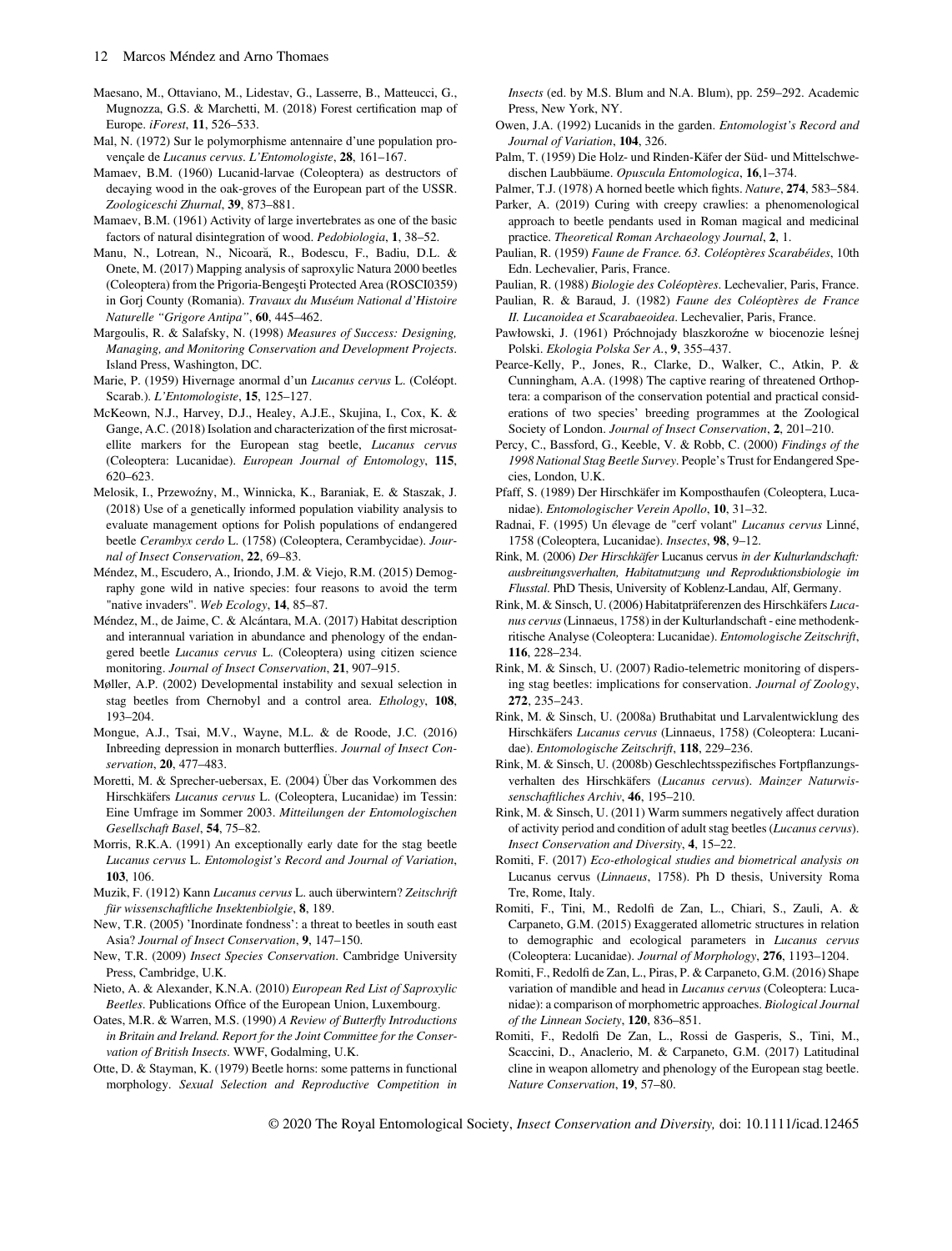- Maesano, M., Ottaviano, M., Lidestav, G., Lasserre, B., Matteucci, G., Mugnozza, G.S. & Marchetti, M. (2018) Forest certification map of Europe. iForest, 11, 526–533.
- Mal, N. (1972) Sur le polymorphisme antennaire d'une population provençale de Lucanus cervus. L'Entomologiste, 28, 161-167.
- Mamaev, B.M. (1960) Lucanid-larvae (Coleoptera) as destructors of decaying wood in the oak-groves of the European part of the USSR. Zoologiceschi Zhurnal, 39, 873–881.
- Mamaev, B.M. (1961) Activity of large invertebrates as one of the basic factors of natural disintegration of wood. Pedobiologia, 1, 38–52.
- Manu, N., Lotrean, N., Nicoara, R., Bodescu, F., Badiu, D.L. & Onete, M. (2017) Mapping analysis of saproxylic Natura 2000 beetles (Coleoptera) from the Prigoria-Bengeşti Protected Area (ROSCI0359) in Gorj County (Romania). Travaux du Muséum National d'Histoire Naturelle "Grigore Antipa", 60, 445–462.
- Margoulis, R. & Salafsky, N. (1998) Measures of Success: Designing, Managing, and Monitoring Conservation and Development Projects. Island Press, Washington, DC.
- Marie, P. (1959) Hivernage anormal d'un Lucanus cervus L. (Coléopt. Scarab.). L'Entomologiste, 15, 125–127.
- McKeown, N.J., Harvey, D.J., Healey, A.J.E., Skujina, I., Cox, K. & Gange, A.C. (2018) Isolation and characterization of the first microsatellite markers for the European stag beetle, Lucanus cervus (Coleoptera: Lucanidae). European Journal of Entomology, 115, 620–623.
- Melosik, I., Przewozny, M., Winnicka, K., Baraniak, E. & Staszak, J. (2018) Use of a genetically informed population viability analysis to evaluate management options for Polish populations of endangered beetle Cerambyx cerdo L. (1758) (Coleoptera, Cerambycidae). Journal of Insect Conservation, 22, 69–83.
- Méndez, M., Escudero, A., Iriondo, J.M. & Viejo, R.M. (2015) Demography gone wild in native species: four reasons to avoid the term "native invaders". Web Ecology, 14, 85–87.
- Méndez, M., de Jaime, C. & Alcántara, M.A. (2017) Habitat description and interannual variation in abundance and phenology of the endangered beetle Lucanus cervus L. (Coleoptera) using citizen science monitoring. Journal of Insect Conservation, 21, 907–915.
- Møller, A.P. (2002) Developmental instability and sexual selection in stag beetles from Chernobyl and a control area. Ethology, 108, 193–204.
- Mongue, A.J., Tsai, M.V., Wayne, M.L. & de Roode, J.C. (2016) Inbreeding depression in monarch butterflies. Journal of Insect Conservation, 20, 477–483.
- Moretti, M. & Sprecher-uebersax, E. (2004) Über das Vorkommen des Hirschkäfers Lucanus cervus L. (Coleoptera, Lucanidae) im Tessin: Eine Umfrage im Sommer 2003. Mitteilungen der Entomologischen Gesellschaft Basel, 54, 75–82.
- Morris, R.K.A. (1991) An exceptionally early date for the stag beetle Lucanus cervus L. Entomologist's Record and Journal of Variation, 103, 106.
- Muzik, F. (1912) Kann Lucanus cervus L. auch überwintern? Zeitschrift für wissenschaftliche Insektenbiolgie, 8, 189.
- New, T.R. (2005) 'Inordinate fondness': a threat to beetles in south east Asia? Journal of Insect Conservation, 9, 147–150.
- New, T.R. (2009) Insect Species Conservation. Cambridge University Press, Cambridge, U.K.
- Nieto, A. & Alexander, K.N.A. (2010) European Red List of Saproxylic Beetles. Publications Office of the European Union, Luxembourg.
- Oates, M.R. & Warren, M.S. (1990) A Review of Butterfly Introductions in Britain and Ireland. Report for the Joint Committee for the Conservation of British Insects. WWF, Godalming, U.K.
- Otte, D. & Stayman, K. (1979) Beetle horns: some patterns in functional morphology. Sexual Selection and Reproductive Competition in

Insects (ed. by M.S. Blum and N.A. Blum), pp. 259–292. Academic Press, New York, NY.

- Owen, J.A. (1992) Lucanids in the garden. Entomologist's Record and Journal of Variation, 104, 326.
- Palm, T. (1959) Die Holz- und Rinden-Käfer der Süd- und Mittelschwedischen Laubbäume. Opuscula Entomologica, 16,1–374.
- Palmer, T.J. (1978) A horned beetle which fights. Nature, 274, 583–584.
- Parker, A. (2019) Curing with creepy crawlies: a phenomenological approach to beetle pendants used in Roman magical and medicinal practice. Theoretical Roman Archaeology Journal, 2, 1.
- Paulian, R. (1959) Faune de France. 63. Coléoptères Scarabéides, 10th Edn. Lechevalier, Paris, France.
- Paulian, R. (1988) Biologie des Coléoptères. Lechevalier, Paris, France. Paulian, R. & Baraud, J. (1982) Faune des Coléoptères de France
- II. Lucanoidea et Scarabaeoidea. Lechevalier, Paris, France.
- Pawłowski, J. (1961) Próchnojady blaszkoroźne w biocenozie leśnej Polski. Ekologia Polska Ser A., 9, 355–437.
- Pearce-Kelly, P., Jones, R., Clarke, D., Walker, C., Atkin, P. & Cunningham, A.A. (1998) The captive rearing of threatened Orthoptera: a comparison of the conservation potential and practical considerations of two species' breeding programmes at the Zoological Society of London. Journal of Insect Conservation, 2, 201–210.
- Percy, C., Bassford, G., Keeble, V. & Robb, C. (2000) Findings of the 1998 National Stag Beetle Survey. People's Trust for Endangered Species, London, U.K.
- Pfaff, S. (1989) Der Hirschkäfer im Komposthaufen (Coleoptera, Lucanidae). Entomologischer Verein Apollo, 10, 31–32.
- Radnai, F. (1995) Un élevage de "cerf volant" Lucanus cervus Linné, 1758 (Coleoptera, Lucanidae). Insectes, 98, 9–12.
- Rink, M. (2006) Der Hirschkäfer Lucanus cervus in der Kulturlandschaft: ausbreitungsverhalten, Habitatnutzung und Reproduktionsbiologie im Flusstal. PhD Thesis, University of Koblenz-Landau, Alf, Germany.
- Rink, M. & Sinsch, U. (2006) Habitatpräferenzen des Hirschkäfers Lucanus cervus(Linnaeus, 1758) in der Kulturlandschaft - eine methodenkritische Analyse (Coleoptera: Lucanidae). Entomologische Zeitschrift, 116, 228–234.
- Rink, M. & Sinsch, U. (2007) Radio-telemetric monitoring of dispersing stag beetles: implications for conservation. Journal of Zoology, 272, 235–243.
- Rink, M. & Sinsch, U. (2008a) Bruthabitat und Larvalentwicklung des Hirschkäfers Lucanus cervus (Linnaeus, 1758) (Coleoptera: Lucanidae). Entomologische Zeitschrift, 118, 229–236.
- Rink, M. & Sinsch, U. (2008b) Geschlechtsspezifisches Fortpflanzungsverhalten des Hirschkäfers (Lucanus cervus). Mainzer Naturwissenschaftliches Archiv, 46, 195–210.
- Rink, M. & Sinsch, U. (2011) Warm summers negatively affect duration of activity period and condition of adult stag beetles (Lucanus cervus). Insect Conservation and Diversity, 4, 15–22.
- Romiti, F. (2017) Eco-ethological studies and biometrical analysis on Lucanus cervus (Linnaeus, 1758). Ph D thesis, University Roma Tre, Rome, Italy.
- Romiti, F., Tini, M., Redolfi de Zan, L., Chiari, S., Zauli, A. & Carpaneto, G.M. (2015) Exaggerated allometric structures in relation to demographic and ecological parameters in Lucanus cervus (Coleoptera: Lucanidae). Journal of Morphology, 276, 1193–1204.
- Romiti, F., Redolfi de Zan, L., Piras, P. & Carpaneto, G.M. (2016) Shape variation of mandible and head in Lucanus cervus (Coleoptera: Lucanidae): a comparison of morphometric approaches. Biological Journal of the Linnean Society, 120, 836–851.
- Romiti, F., Redolfi De Zan, L., Rossi de Gasperis, S., Tini, M., Scaccini, D., Anaclerio, M. & Carpaneto, G.M. (2017) Latitudinal cline in weapon allometry and phenology of the European stag beetle. Nature Conservation, 19, 57–80.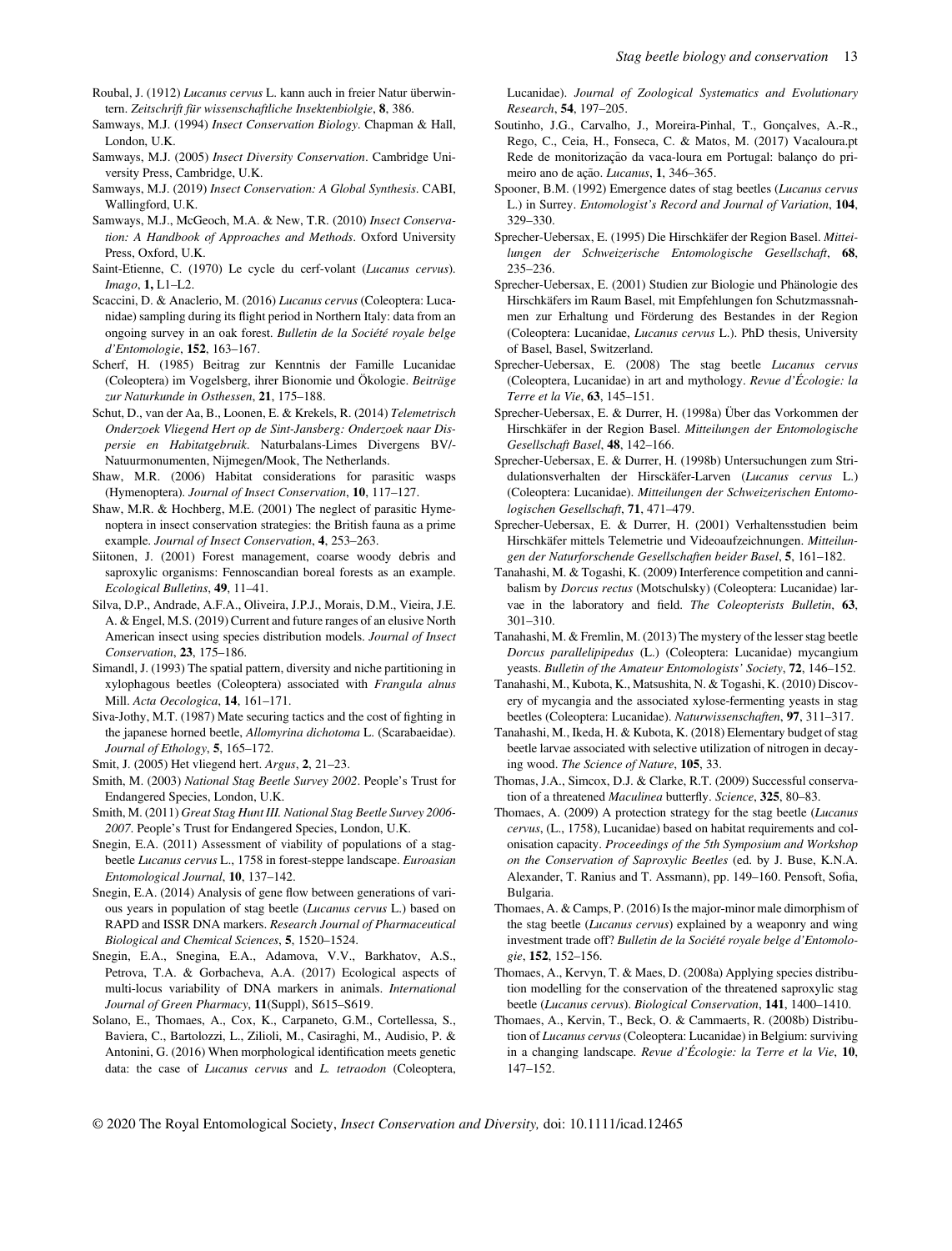- Roubal, J. (1912) Lucanus cervus L. kann auch in freier Natur überwintern. Zeitschrift für wissenschaftliche Insektenbiolgie, 8, 386.
- Samways, M.J. (1994) Insect Conservation Biology. Chapman & Hall, London, U.K.
- Samways, M.J. (2005) Insect Diversity Conservation. Cambridge University Press, Cambridge, U.K.
- Samways, M.J. (2019) Insect Conservation: A Global Synthesis. CABI, Wallingford, U.K.
- Samways, M.J., McGeoch, M.A. & New, T.R. (2010) Insect Conservation: A Handbook of Approaches and Methods. Oxford University Press, Oxford, U.K.
- Saint-Etienne, C. (1970) Le cycle du cerf-volant (Lucanus cervus). Imago, 1, L1–L2.
- Scaccini, D. & Anaclerio, M. (2016) Lucanus cervus (Coleoptera: Lucanidae) sampling during its flight period in Northern Italy: data from an ongoing survey in an oak forest. Bulletin de la Société royale belge d'Entomologie, 152, 163–167.
- Scherf, H. (1985) Beitrag zur Kenntnis der Famille Lucanidae (Coleoptera) im Vogelsberg, ihrer Bionomie und Ökologie. Beiträge zur Naturkunde in Osthessen, 21, 175–188.
- Schut, D., van der Aa, B., Loonen, E. & Krekels, R. (2014) Telemetrisch Onderzoek Vliegend Hert op de Sint-Jansberg: Onderzoek naar Dispersie en Habitatgebruik. Naturbalans-Limes Divergens BV/- Natuurmonumenten, Nijmegen/Mook, The Netherlands.
- Shaw, M.R. (2006) Habitat considerations for parasitic wasps (Hymenoptera). Journal of Insect Conservation, 10, 117–127.
- Shaw, M.R. & Hochberg, M.E. (2001) The neglect of parasitic Hymenoptera in insect conservation strategies: the British fauna as a prime example. Journal of Insect Conservation, 4, 253–263.
- Siitonen, J. (2001) Forest management, coarse woody debris and saproxylic organisms: Fennoscandian boreal forests as an example. Ecological Bulletins, 49, 11–41.
- Silva, D.P., Andrade, A.F.A., Oliveira, J.P.J., Morais, D.M., Vieira, J.E. A. & Engel, M.S. (2019) Current and future ranges of an elusive North American insect using species distribution models. Journal of Insect Conservation, 23, 175–186.
- Simandl, J. (1993) The spatial pattern, diversity and niche partitioning in xylophagous beetles (Coleoptera) associated with Frangula alnus Mill. Acta Oecologica, 14, 161–171.
- Siva-Jothy, M.T. (1987) Mate securing tactics and the cost of fighting in the japanese horned beetle, Allomyrina dichotoma L. (Scarabaeidae). Journal of Ethology, 5, 165–172.
- Smit, J. (2005) Het vliegend hert. Argus, 2, 21–23.
- Smith, M. (2003) National Stag Beetle Survey 2002. People's Trust for Endangered Species, London, U.K.
- Smith, M. (2011) Great Stag Hunt III. National Stag Beetle Survey 2006- 2007. People's Trust for Endangered Species, London, U.K.
- Snegin, E.A. (2011) Assessment of viability of populations of a stagbeetle Lucanus cervus L., 1758 in forest-steppe landscape. Euroasian Entomological Journal, 10, 137–142.
- Snegin, E.A. (2014) Analysis of gene flow between generations of various years in population of stag beetle (Lucanus cervus L.) based on RAPD and ISSR DNA markers. Research Journal of Pharmaceutical Biological and Chemical Sciences, 5, 1520–1524.
- Snegin, E.A., Snegina, E.A., Adamova, V.V., Barkhatov, A.S., Petrova, T.A. & Gorbacheva, A.A. (2017) Ecological aspects of multi-locus variability of DNA markers in animals. International Journal of Green Pharmacy, 11(Suppl), S615–S619.
- Solano, E., Thomaes, A., Cox, K., Carpaneto, G.M., Cortellessa, S., Baviera, C., Bartolozzi, L., Zilioli, M., Casiraghi, M., Audisio, P. & Antonini, G. (2016) When morphological identification meets genetic data: the case of Lucanus cervus and L. tetraodon (Coleoptera,

Lucanidae). Journal of Zoological Systematics and Evolutionary Research, 54, 197–205.

- Soutinho, J.G., Carvalho, J., Moreira-Pinhal, T., Gonçalves, A.-R., Rego, C., Ceia, H., Fonseca, C. & Matos, M. (2017) Vacaloura.pt Rede de monitorização da vaca-loura em Portugal: balanço do primeiro ano de ação. Lucanus, 1, 346-365.
- Spooner, B.M. (1992) Emergence dates of stag beetles (Lucanus cervus L.) in Surrey. Entomologist's Record and Journal of Variation, 104, 329–330.
- Sprecher-Uebersax, E. (1995) Die Hirschkäfer der Region Basel. Mitteilungen der Schweizerische Entomologische Gesellschaft, 68, 235–236.
- Sprecher-Uebersax, E. (2001) Studien zur Biologie und Phänologie des Hirschkäfers im Raum Basel, mit Empfehlungen fon Schutzmassnahmen zur Erhaltung und Förderung des Bestandes in der Region (Coleoptera: Lucanidae, Lucanus cervus L.). PhD thesis, University of Basel, Basel, Switzerland.
- Sprecher-Uebersax, E. (2008) The stag beetle Lucanus cervus (Coleoptera, Lucanidae) in art and mythology. Revue d'Écologie: la Terre et la Vie, 63, 145–151.
- Sprecher-Uebersax, E. & Durrer, H. (1998a) Über das Vorkommen der Hirschkäfer in der Region Basel. Mitteilungen der Entomologische Gesellschaft Basel, 48, 142–166.
- Sprecher-Uebersax, E. & Durrer, H. (1998b) Untersuchungen zum Stridulationsverhalten der Hirsckäfer-Larven (Lucanus cervus L.) (Coleoptera: Lucanidae). Mitteilungen der Schweizerischen Entomologischen Gesellschaft, 71, 471–479.
- Sprecher-Uebersax, E. & Durrer, H. (2001) Verhaltensstudien beim Hirschkäfer mittels Telemetrie und Videoaufzeichnungen. Mitteilungen der Naturforschende Gesellschaften beider Basel, 5, 161–182.
- Tanahashi, M. & Togashi, K. (2009) Interference competition and cannibalism by Dorcus rectus (Motschulsky) (Coleoptera: Lucanidae) larvae in the laboratory and field. The Coleopterists Bulletin, 63, 301–310.
- Tanahashi, M. & Fremlin, M. (2013) The mystery of the lesser stag beetle Dorcus parallelipipedus (L.) (Coleoptera: Lucanidae) mycangium yeasts. Bulletin of the Amateur Entomologists' Society, 72, 146–152.
- Tanahashi, M., Kubota, K., Matsushita, N. & Togashi, K. (2010) Discovery of mycangia and the associated xylose-fermenting yeasts in stag beetles (Coleoptera: Lucanidae). Naturwissenschaften, 97, 311–317.
- Tanahashi, M., Ikeda, H. & Kubota, K. (2018) Elementary budget of stag beetle larvae associated with selective utilization of nitrogen in decaying wood. The Science of Nature, 105, 33.
- Thomas, J.A., Simcox, D.J. & Clarke, R.T. (2009) Successful conservation of a threatened Maculinea butterfly. Science, 325, 80-83.
- Thomaes, A. (2009) A protection strategy for the stag beetle (Lucanus cervus, (L., 1758), Lucanidae) based on habitat requirements and colonisation capacity. Proceedings of the 5th Symposium and Workshop on the Conservation of Saproxylic Beetles (ed. by J. Buse, K.N.A. Alexander, T. Ranius and T. Assmann), pp. 149–160. Pensoft, Sofia, Bulgaria.
- Thomaes, A. & Camps, P. (2016) Is the major-minor male dimorphism of the stag beetle (Lucanus cervus) explained by a weaponry and wing investment trade off? Bulletin de la Société royale belge d'Entomologie, 152, 152–156.
- Thomaes, A., Kervyn, T. & Maes, D. (2008a) Applying species distribution modelling for the conservation of the threatened saproxylic stag beetle (Lucanus cervus). Biological Conservation, 141, 1400–1410.
- Thomaes, A., Kervin, T., Beck, O. & Cammaerts, R. (2008b) Distribution of Lucanus cervus (Coleoptera: Lucanidae) in Belgium: surviving in a changing landscape. Revue d'Écologie: la Terre et la Vie, 10, 147–152.